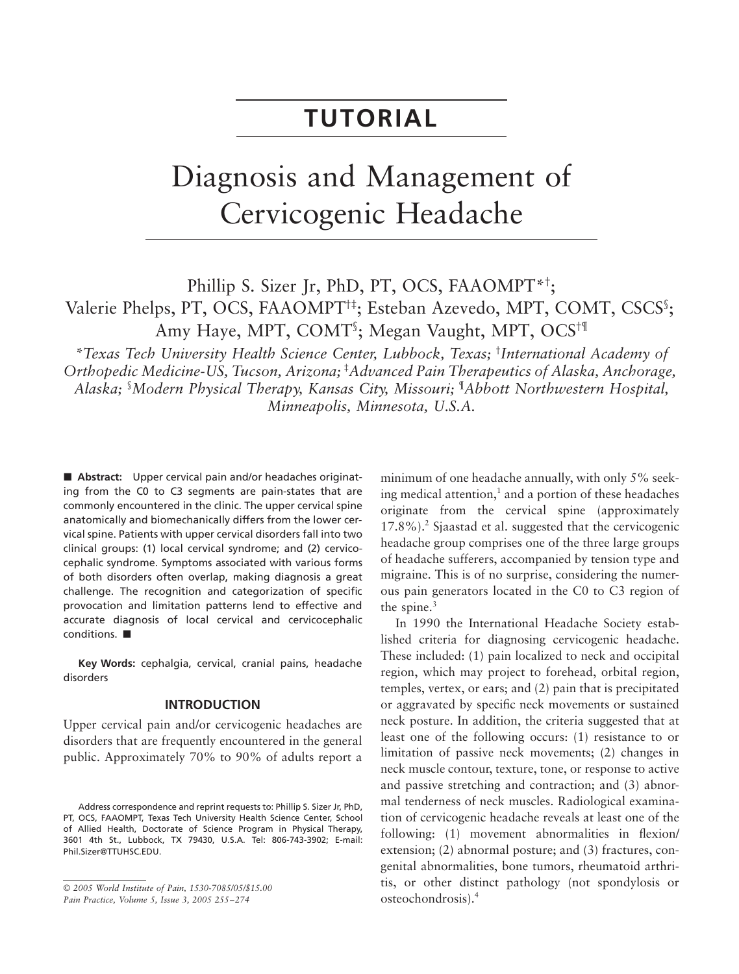# **TUTORIAL**

# Diagnosis and Management of Cervicogenic Headache

Phillip S. Sizer Jr, PhD, PT, OCS, FAAOMPT<sup>\*†</sup>; Valerie Phelps, PT, OCS, FAAOMPT†‡; Esteban Azevedo, MPT, COMT, CSCS§ ; Amy Haye, MPT, COMT§ ; Megan Vaught, MPT, OCS†¶

*\*Texas Tech University Health Science Center, Lubbock, Texas;* † *International Academy of Orthopedic Medicine-US, Tucson, Arizona;* ‡ *Advanced Pain Therapeutics of Alaska, Anchorage, Alaska;* § *Modern Physical Therapy, Kansas City, Missouri;* ¶ *Abbott Northwestern Hospital, Minneapolis, Minnesota, U.S.A.*

■ **Abstract:** Upper cervical pain and/or headaches originating from the C0 to C3 segments are pain-states that are commonly encountered in the clinic. The upper cervical spine anatomically and biomechanically differs from the lower cervical spine. Patients with upper cervical disorders fall into two clinical groups: (1) local cervical syndrome; and (2) cervicocephalic syndrome. Symptoms associated with various forms of both disorders often overlap, making diagnosis a great challenge. The recognition and categorization of specific provocation and limitation patterns lend to effective and accurate diagnosis of local cervical and cervicocephalic conditions.  $\blacksquare$ 

**Key Words:** cephalgia, cervical, cranial pains, headache disorders

# **INTRODUCTION**

Upper cervical pain and/or cervicogenic headaches are disorders that are frequently encountered in the general public. Approximately 70% to 90% of adults report a

*Pain Practice, Volume 5, Issue 3, 2005 255–274*

minimum of one headache annually, with only 5% seeking medical attention, $^1$  and a portion of these headaches originate from the cervical spine (approximately 17.8%).<sup>2</sup> Sjaastad et al. suggested that the cervicogenic headache group comprises one of the three large groups of headache sufferers, accompanied by tension type and migraine. This is of no surprise, considering the numerous pain generators located in the C0 to C3 region of the spine. $3$ 

In 1990 the International Headache Society established criteria for diagnosing cervicogenic headache. These included: (1) pain localized to neck and occipital region, which may project to forehead, orbital region, temples, vertex, or ears; and (2) pain that is precipitated or aggravated by specific neck movements or sustained neck posture. In addition, the criteria suggested that at least one of the following occurs: (1) resistance to or limitation of passive neck movements; (2) changes in neck muscle contour, texture, tone, or response to active and passive stretching and contraction; and (3) abnormal tenderness of neck muscles. Radiological examination of cervicogenic headache reveals at least one of the following: (1) movement abnormalities in flexion/ extension; (2) abnormal posture; and (3) fractures, congenital abnormalities, bone tumors, rheumatoid arthritis, or other distinct pathology (not spondylosis or osteochondrosis).4

Address correspondence and reprint requests to: Phillip S. Sizer Jr, PhD, PT, OCS, FAAOMPT, Texas Tech University Health Science Center, School of Allied Health, Doctorate of Science Program in Physical Therapy, 3601 4th St., Lubbock, TX 79430, U.S.A. Tel: 806-743-3902; E-mail: Phil.Sizer@TTUHSC.EDU.

*<sup>© 2005</sup> World Institute of Pain, 1530-7085/05/\$15.00*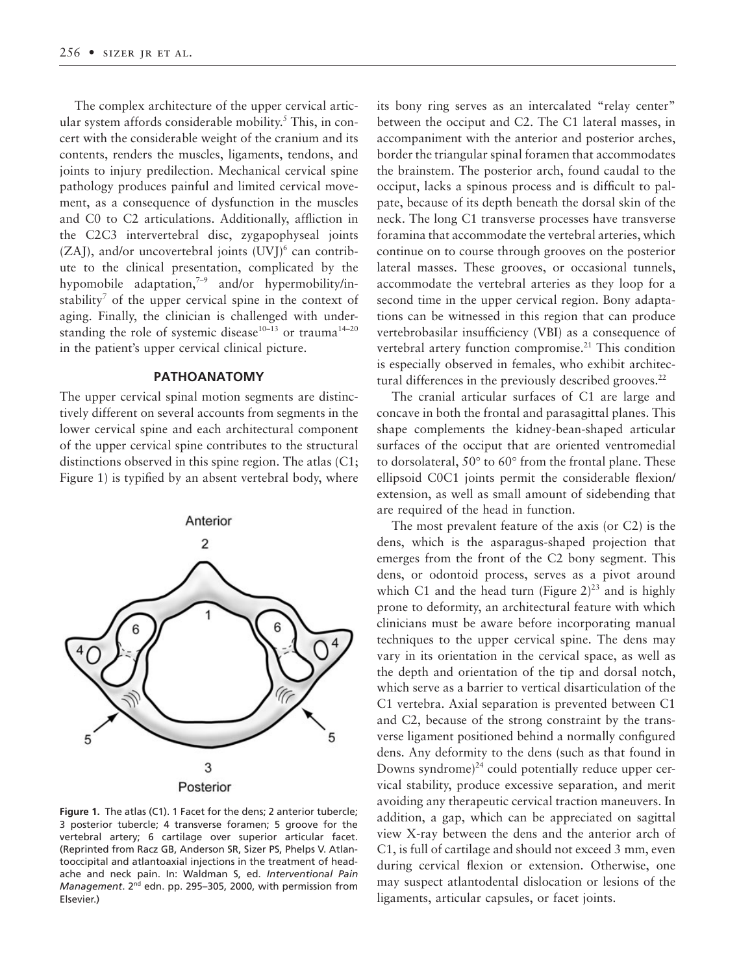The complex architecture of the upper cervical articular system affords considerable mobility.<sup>5</sup> This, in concert with the considerable weight of the cranium and its contents, renders the muscles, ligaments, tendons, and joints to injury predilection. Mechanical cervical spine pathology produces painful and limited cervical movement, as a consequence of dysfunction in the muscles and C0 to C2 articulations. Additionally, affliction in the C2C3 intervertebral disc, zygapophyseal joints  $(ZAJ)$ , and/or uncovertebral joints  $(UVJ)^6$  can contribute to the clinical presentation, complicated by the hypomobile adaptation, $7-9$  and/or hypermobility/instability<sup>7</sup> of the upper cervical spine in the context of aging. Finally, the clinician is challenged with understanding the role of systemic disease<sup>10–13</sup> or trauma<sup>14–20</sup> in the patient's upper cervical clinical picture.

# **PATHOANATOMY**

The upper cervical spinal motion segments are distinctively different on several accounts from segments in the lower cervical spine and each architectural component of the upper cervical spine contributes to the structural distinctions observed in this spine region. The atlas (C1; Figure 1) is typified by an absent vertebral body, where



**Figure 1.** The atlas (C1). 1 Facet for the dens; 2 anterior tubercle; 3 posterior tubercle; 4 transverse foramen; 5 groove for the vertebral artery; 6 cartilage over superior articular facet. (Reprinted from Racz GB, Anderson SR, Sizer PS, Phelps V. Atlantooccipital and atlantoaxial injections in the treatment of headache and neck pain. In: Waldman S, ed. *Interventional Pain Management*. 2nd edn. pp. 295–305, 2000, with permission from Elsevier.)

its bony ring serves as an intercalated "relay center" between the occiput and C2. The C1 lateral masses, in accompaniment with the anterior and posterior arches, border the triangular spinal foramen that accommodates the brainstem. The posterior arch, found caudal to the occiput, lacks a spinous process and is difficult to palpate, because of its depth beneath the dorsal skin of the neck. The long C1 transverse processes have transverse foramina that accommodate the vertebral arteries, which continue on to course through grooves on the posterior lateral masses. These grooves, or occasional tunnels, accommodate the vertebral arteries as they loop for a second time in the upper cervical region. Bony adaptations can be witnessed in this region that can produce vertebrobasilar insufficiency (VBI) as a consequence of vertebral artery function compromise.<sup>21</sup> This condition is especially observed in females, who exhibit architectural differences in the previously described grooves. $^{22}$ 

The cranial articular surfaces of C1 are large and concave in both the frontal and parasagittal planes. This shape complements the kidney-bean-shaped articular surfaces of the occiput that are oriented ventromedial to dorsolateral, 50∞ to 60∞ from the frontal plane. These ellipsoid C0C1 joints permit the considerable flexion/ extension, as well as small amount of sidebending that are required of the head in function.

The most prevalent feature of the axis (or C2) is the dens, which is the asparagus-shaped projection that emerges from the front of the C2 bony segment. This dens, or odontoid process, serves as a pivot around which C1 and the head turn (Figure  $2^{23}$  and is highly prone to deformity, an architectural feature with which clinicians must be aware before incorporating manual techniques to the upper cervical spine. The dens may vary in its orientation in the cervical space, as well as the depth and orientation of the tip and dorsal notch, which serve as a barrier to vertical disarticulation of the C1 vertebra. Axial separation is prevented between C1 and C2, because of the strong constraint by the transverse ligament positioned behind a normally configured dens. Any deformity to the dens (such as that found in Downs syndrome) $^{24}$  could potentially reduce upper cervical stability, produce excessive separation, and merit avoiding any therapeutic cervical traction maneuvers. In addition, a gap, which can be appreciated on sagittal view X-ray between the dens and the anterior arch of C1, is full of cartilage and should not exceed 3 mm, even during cervical flexion or extension. Otherwise, one may suspect atlantodental dislocation or lesions of the ligaments, articular capsules, or facet joints.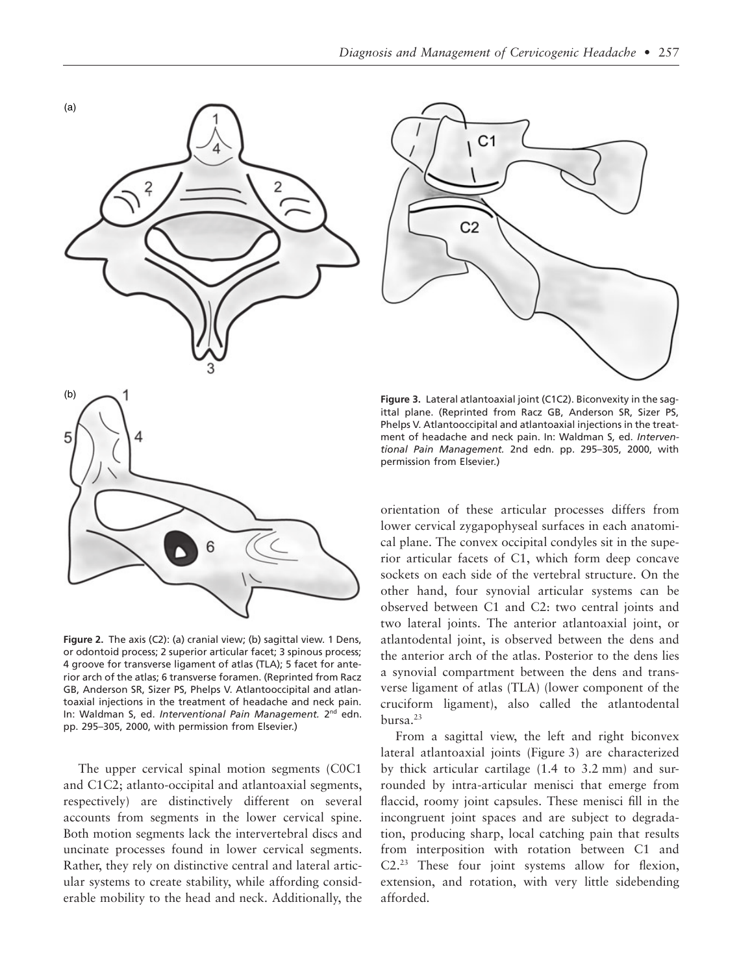

**Figure 2.** The axis (C2): (a) cranial view; (b) sagittal view. 1 Dens, or odontoid process; 2 superior articular facet; 3 spinous process; 4 groove for transverse ligament of atlas (TLA); 5 facet for anterior arch of the atlas; 6 transverse foramen. (Reprinted from Racz GB, Anderson SR, Sizer PS, Phelps V. Atlantooccipital and atlantoaxial injections in the treatment of headache and neck pain. In: Waldman S, ed. *Interventional Pain Management.* 2nd edn. pp. 295–305, 2000, with permission from Elsevier.)

The upper cervical spinal motion segments (C0C1 and C1C2; atlanto-occipital and atlantoaxial segments, respectively) are distinctively different on several accounts from segments in the lower cervical spine. Both motion segments lack the intervertebral discs and uncinate processes found in lower cervical segments. Rather, they rely on distinctive central and lateral articular systems to create stability, while affording considerable mobility to the head and neck. Additionally, the



ittal plane. (Reprinted from Racz GB, Anderson SR, Sizer PS, Phelps V. Atlantooccipital and atlantoaxial injections in the treatment of headache and neck pain. In: Waldman S, ed. *Interventional Pain Management.* 2nd edn. pp. 295–305, 2000, with permission from Elsevier.)

orientation of these articular processes differs from lower cervical zygapophyseal surfaces in each anatomical plane. The convex occipital condyles sit in the superior articular facets of C1, which form deep concave sockets on each side of the vertebral structure. On the other hand, four synovial articular systems can be observed between C1 and C2: two central joints and two lateral joints. The anterior atlantoaxial joint, or atlantodental joint, is observed between the dens and the anterior arch of the atlas. Posterior to the dens lies a synovial compartment between the dens and transverse ligament of atlas (TLA) (lower component of the cruciform ligament), also called the atlantodental  $bursa.<sup>23</sup>$ 

From a sagittal view, the left and right biconvex lateral atlantoaxial joints (Figure 3) are characterized by thick articular cartilage (1.4 to 3.2 mm) and surrounded by intra-articular menisci that emerge from flaccid, roomy joint capsules. These menisci fill in the incongruent joint spaces and are subject to degradation, producing sharp, local catching pain that results from interposition with rotation between C1 and  $C2<sup>23</sup>$  These four joint systems allow for flexion, extension, and rotation, with very little sidebending afforded.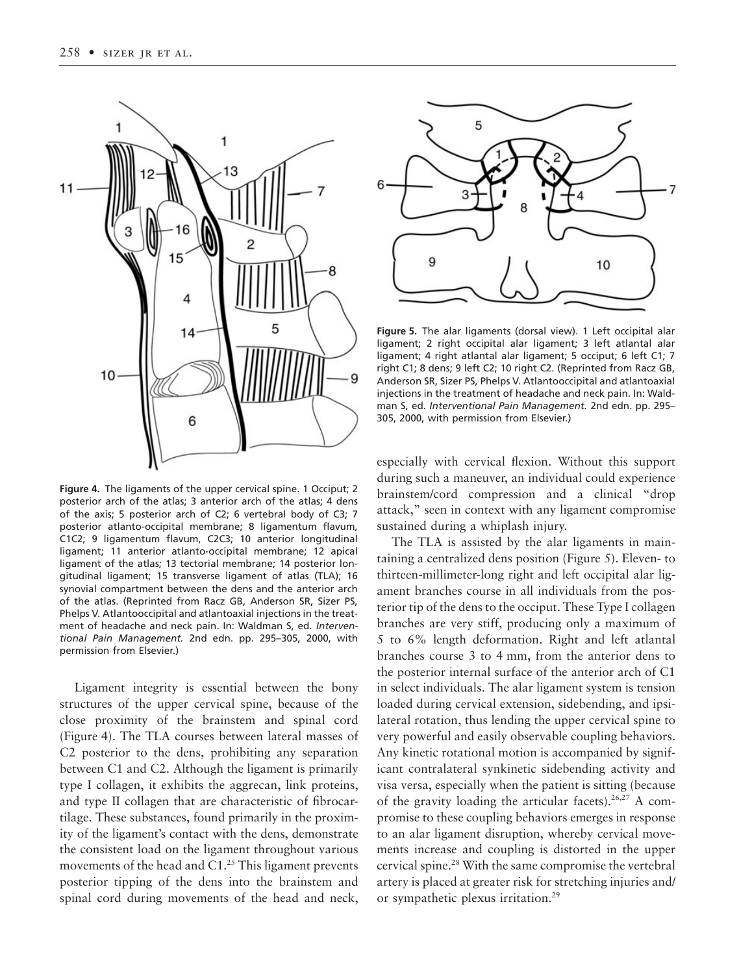

**Figure 4.** The ligaments of the upper cervical spine. 1 Occiput; 2 posterior arch of the atlas; 3 anterior arch of the atlas; 4 dens of the axis; 5 posterior arch of C2; 6 vertebral body of C3; 7 posterior atlanto-occipital membrane; 8 ligamentum flavum, C1C2; 9 ligamentum flavum, C2C3; 10 anterior longitudinal ligament; 11 anterior atlanto-occipital membrane; 12 apical ligament of the atlas; 13 tectorial membrane; 14 posterior longitudinal ligament; 15 transverse ligament of atlas (TLA); 16 synovial compartment between the dens and the anterior arch of the atlas. (Reprinted from Racz GB, Anderson SR, Sizer PS, Phelps V. Atlantooccipital and atlantoaxial injections in the treatment of headache and neck pain. In: Waldman S, ed. *Interventional Pain Management.* 2nd edn. pp. 295–305, 2000, with permission from Elsevier.)

Ligament integrity is essential between the bony structures of the upper cervical spine, because of the close proximity of the brainstem and spinal cord (Figure 4). The TLA courses between lateral masses of C2 posterior to the dens, prohibiting any separation between C1 and C2. Although the ligament is primarily type I collagen, it exhibits the aggrecan, link proteins, and type II collagen that are characteristic of fibrocartilage. These substances, found primarily in the proximity of the ligament's contact with the dens, demonstrate the consistent load on the ligament throughout various movements of the head and  $C1<sup>25</sup>$ . This ligament prevents posterior tipping of the dens into the brainstem and spinal cord during movements of the head and neck,



**Figure 5.** The alar ligaments (dorsal view). 1 Left occipital alar ligament; 2 right occipital alar ligament; 3 left atlantal alar ligament; 4 right atlantal alar ligament; 5 occiput; 6 left C1; 7 right C1; 8 dens; 9 left C2; 10 right C2. (Reprinted from Racz GB, Anderson SR, Sizer PS, Phelps V. Atlantooccipital and atlantoaxial injections in the treatment of headache and neck pain. In: Waldman S, ed. *Interventional Pain Management.* 2nd edn. pp. 295– 305, 2000, with permission from Elsevier.)

especially with cervical flexion. Without this support during such a maneuver, an individual could experience brainstem/cord compression and a clinical "drop attack," seen in context with any ligament compromise sustained during a whiplash injury.

The TLA is assisted by the alar ligaments in maintaining a centralized dens position (Figure 5). Eleven- to thirteen-millimeter-long right and left occipital alar ligament branches course in all individuals from the posterior tip of the dens to the occiput. These Type I collagen branches are very stiff, producing only a maximum of 5 to 6% length deformation. Right and left atlantal branches course 3 to 4 mm, from the anterior dens to the posterior internal surface of the anterior arch of C1 in select individuals. The alar ligament system is tension loaded during cervical extension, sidebending, and ipsilateral rotation, thus lending the upper cervical spine to very powerful and easily observable coupling behaviors. Any kinetic rotational motion is accompanied by significant contralateral synkinetic sidebending activity and visa versa, especially when the patient is sitting (because of the gravity loading the articular facets).<sup>26,27</sup> A compromise to these coupling behaviors emerges in response to an alar ligament disruption, whereby cervical movements increase and coupling is distorted in the upper cervical spine.<sup>28</sup> With the same compromise the vertebral artery is placed at greater risk for stretching injuries and/ or sympathetic plexus irritation.29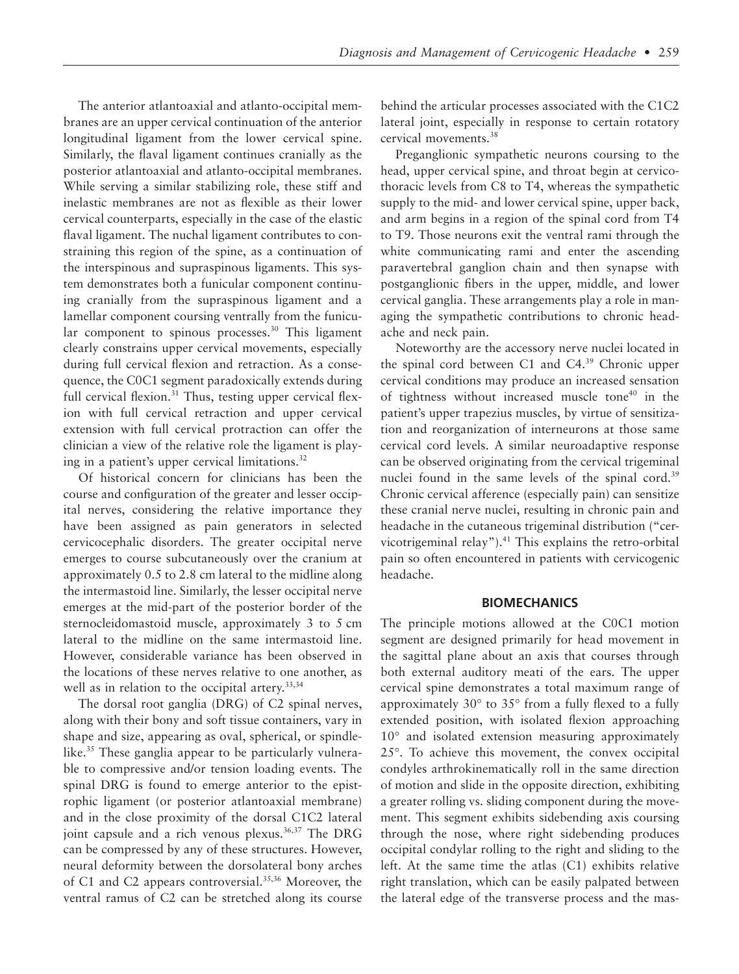The anterior atlantoaxial and atlanto-occipital membranes are an upper cervical continuation of the anterior longitudinal ligament from the lower cervical spine. Similarly, the flaval ligament continues cranially as the posterior atlantoaxial and atlanto-occipital membranes. While serving a similar stabilizing role, these stiff and inelastic membranes are not as flexible as their lower cervical counterparts, especially in the case of the elastic flaval ligament. The nuchal ligament contributes to constraining this region of the spine, as a continuation of the interspinous and supraspinous ligaments. This system demonstrates both a funicular component continuing cranially from the supraspinous ligament and a lamellar component coursing ventrally from the funicular component to spinous processes. $30$  This ligament clearly constrains upper cervical movements, especially during full cervical flexion and retraction. As a consequence, the C0C1 segment paradoxically extends during full cervical flexion. $31$  Thus, testing upper cervical flexion with full cervical retraction and upper cervical extension with full cervical protraction can offer the clinician a view of the relative role the ligament is playing in a patient's upper cervical limitations.<sup>32</sup>

Of historical concern for clinicians has been the course and configuration of the greater and lesser occipital nerves, considering the relative importance they have been assigned as pain generators in selected cervicocephalic disorders. The greater occipital nerve emerges to course subcutaneously over the cranium at approximately 0.5 to 2.8 cm lateral to the midline along the intermastoid line. Similarly, the lesser occipital nerve emerges at the mid-part of the posterior border of the sternocleidomastoid muscle, approximately 3 to 5 cm lateral to the midline on the same intermastoid line. However, considerable variance has been observed in the locations of these nerves relative to one another, as well as in relation to the occipital artery.<sup>33,34</sup>

The dorsal root ganglia (DRG) of C2 spinal nerves, along with their bony and soft tissue containers, vary in shape and size, appearing as oval, spherical, or spindlelike.<sup>35</sup> These ganglia appear to be particularly vulnerable to compressive and/or tension loading events. The spinal DRG is found to emerge anterior to the epistrophic ligament (or posterior atlantoaxial membrane) and in the close proximity of the dorsal C1C2 lateral joint capsule and a rich venous plexus.<sup>36,37</sup> The DRG can be compressed by any of these structures. However, neural deformity between the dorsolateral bony arches of C1 and C2 appears controversial.<sup>35,36</sup> Moreover, the ventral ramus of C2 can be stretched along its course

behind the articular processes associated with the C1C2 lateral joint, especially in response to certain rotatory cervical movements.38

Preganglionic sympathetic neurons coursing to the head, upper cervical spine, and throat begin at cervicothoracic levels from C8 to T4, whereas the sympathetic supply to the mid- and lower cervical spine, upper back, and arm begins in a region of the spinal cord from T4 to T9. Those neurons exit the ventral rami through the white communicating rami and enter the ascending paravertebral ganglion chain and then synapse with postganglionic fibers in the upper, middle, and lower cervical ganglia. These arrangements play a role in managing the sympathetic contributions to chronic headache and neck pain.

Noteworthy are the accessory nerve nuclei located in the spinal cord between C1 and C4.39 Chronic upper cervical conditions may produce an increased sensation of tightness without increased muscle tone<sup>40</sup> in the patient's upper trapezius muscles, by virtue of sensitization and reorganization of interneurons at those same cervical cord levels. A similar neuroadaptive response can be observed originating from the cervical trigeminal nuclei found in the same levels of the spinal cord.<sup>39</sup> Chronic cervical afference (especially pain) can sensitize these cranial nerve nuclei, resulting in chronic pain and headache in the cutaneous trigeminal distribution ("cervicotrigeminal relay"). $41$  This explains the retro-orbital pain so often encountered in patients with cervicogenic headache.

# **BIOMECHANICS**

The principle motions allowed at the C0C1 motion segment are designed primarily for head movement in the sagittal plane about an axis that courses through both external auditory meati of the ears. The upper cervical spine demonstrates a total maximum range of approximately 30∞ to 35∞ from a fully flexed to a fully extended position, with isolated flexion approaching 10∞ and isolated extension measuring approximately 25°. To achieve this movement, the convex occipital condyles arthrokinematically roll in the same direction of motion and slide in the opposite direction, exhibiting a greater rolling vs. sliding component during the movement. This segment exhibits sidebending axis coursing through the nose, where right sidebending produces occipital condylar rolling to the right and sliding to the left. At the same time the atlas (C1) exhibits relative right translation, which can be easily palpated between the lateral edge of the transverse process and the mas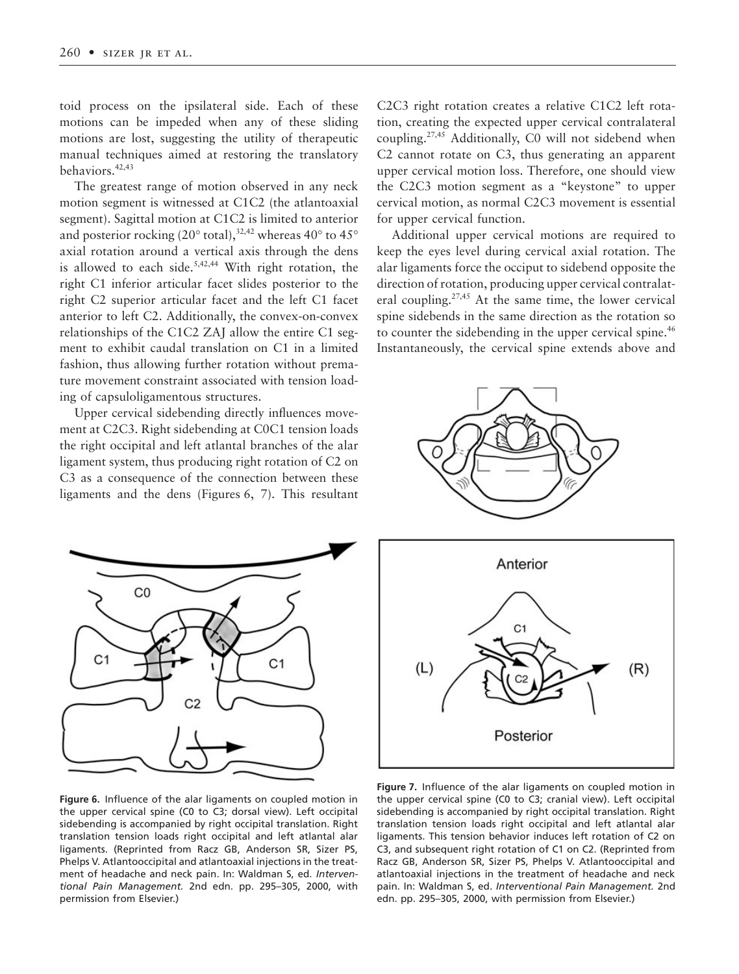toid process on the ipsilateral side. Each of these motions can be impeded when any of these sliding motions are lost, suggesting the utility of therapeutic manual techniques aimed at restoring the translatory behaviors.42,43

The greatest range of motion observed in any neck motion segment is witnessed at C1C2 (the atlantoaxial segment). Sagittal motion at C1C2 is limited to anterior and posterior rocking (20 $\degree$  total),<sup>32,42</sup> whereas 40 $\degree$  to 45 $\degree$ axial rotation around a vertical axis through the dens is allowed to each side. $5,42,44$  With right rotation, the right C1 inferior articular facet slides posterior to the right C2 superior articular facet and the left C1 facet anterior to left C2. Additionally, the convex-on-convex relationships of the C1C2 ZAJ allow the entire C1 segment to exhibit caudal translation on C1 in a limited fashion, thus allowing further rotation without premature movement constraint associated with tension loading of capsuloligamentous structures.

Upper cervical sidebending directly influences movement at C2C3. Right sidebending at C0C1 tension loads the right occipital and left atlantal branches of the alar ligament system, thus producing right rotation of C2 on C3 as a consequence of the connection between these ligaments and the dens (Figures 6, 7). This resultant



**Figure 6.** Influence of the alar ligaments on coupled motion in the upper cervical spine (C0 to C3; dorsal view). Left occipital sidebending is accompanied by right occipital translation. Right translation tension loads right occipital and left atlantal alar ligaments. (Reprinted from Racz GB, Anderson SR, Sizer PS, Phelps V. Atlantooccipital and atlantoaxial injections in the treatment of headache and neck pain. In: Waldman S, ed. *Interventional Pain Management.* 2nd edn. pp. 295–305, 2000, with permission from Elsevier.)

C2C3 right rotation creates a relative C1C2 left rotation, creating the expected upper cervical contralateral coupling.27,45 Additionally, C0 will not sidebend when C2 cannot rotate on C3, thus generating an apparent upper cervical motion loss. Therefore, one should view the C2C3 motion segment as a "keystone" to upper cervical motion, as normal C2C3 movement is essential for upper cervical function.

Additional upper cervical motions are required to keep the eyes level during cervical axial rotation. The alar ligaments force the occiput to sidebend opposite the direction of rotation, producing upper cervical contralateral coupling.<sup>27,45</sup> At the same time, the lower cervical spine sidebends in the same direction as the rotation so to counter the sidebending in the upper cervical spine.<sup>46</sup> Instantaneously, the cervical spine extends above and





**Figure 7.** Influence of the alar ligaments on coupled motion in the upper cervical spine (C0 to C3; cranial view). Left occipital sidebending is accompanied by right occipital translation. Right translation tension loads right occipital and left atlantal alar ligaments. This tension behavior induces left rotation of C2 on C3, and subsequent right rotation of C1 on C2. (Reprinted from Racz GB, Anderson SR, Sizer PS, Phelps V. Atlantooccipital and atlantoaxial injections in the treatment of headache and neck pain. In: Waldman S, ed. *Interventional Pain Management.* 2nd edn. pp. 295–305, 2000, with permission from Elsevier.)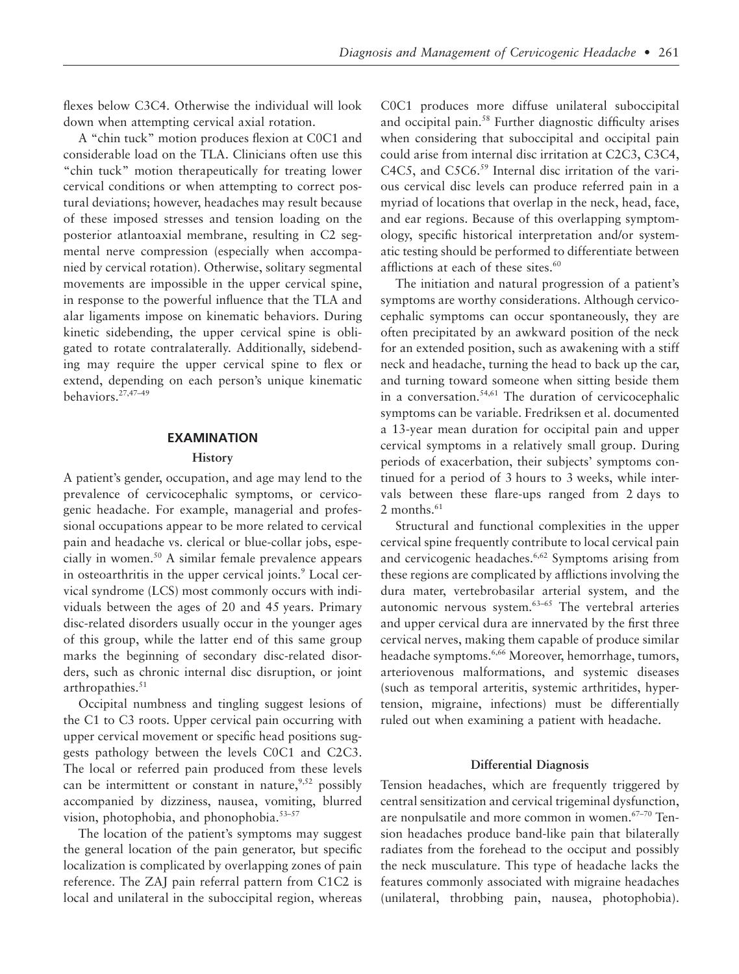flexes below C3C4. Otherwise the individual will look down when attempting cervical axial rotation.

A "chin tuck" motion produces flexion at C0C1 and considerable load on the TLA. Clinicians often use this "chin tuck" motion therapeutically for treating lower cervical conditions or when attempting to correct postural deviations; however, headaches may result because of these imposed stresses and tension loading on the posterior atlantoaxial membrane, resulting in C2 segmental nerve compression (especially when accompanied by cervical rotation). Otherwise, solitary segmental movements are impossible in the upper cervical spine, in response to the powerful influence that the TLA and alar ligaments impose on kinematic behaviors. During kinetic sidebending, the upper cervical spine is obligated to rotate contralaterally. Additionally, sidebending may require the upper cervical spine to flex or extend, depending on each person's unique kinematic behaviors. $27,47-49$ 

### **EXAMINATION**

# **History**

A patient's gender, occupation, and age may lend to the prevalence of cervicocephalic symptoms, or cervicogenic headache. For example, managerial and professional occupations appear to be more related to cervical pain and headache vs. clerical or blue-collar jobs, especially in women.<sup>50</sup> A similar female prevalence appears in osteoarthritis in the upper cervical joints.<sup>9</sup> Local cervical syndrome (LCS) most commonly occurs with individuals between the ages of 20 and 45 years. Primary disc-related disorders usually occur in the younger ages of this group, while the latter end of this same group marks the beginning of secondary disc-related disorders, such as chronic internal disc disruption, or joint arthropathies.<sup>51</sup>

Occipital numbness and tingling suggest lesions of the C1 to C3 roots. Upper cervical pain occurring with upper cervical movement or specific head positions suggests pathology between the levels C0C1 and C2C3. The local or referred pain produced from these levels can be intermittent or constant in nature,  $9,52$  possibly accompanied by dizziness, nausea, vomiting, blurred vision, photophobia, and phonophobia.<sup>53-57</sup>

The location of the patient's symptoms may suggest the general location of the pain generator, but specific localization is complicated by overlapping zones of pain reference. The ZAJ pain referral pattern from C1C2 is local and unilateral in the suboccipital region, whereas

C0C1 produces more diffuse unilateral suboccipital and occipital pain.58 Further diagnostic difficulty arises when considering that suboccipital and occipital pain could arise from internal disc irritation at C2C3, C3C4, C4C5, and C5C6.<sup>59</sup> Internal disc irritation of the various cervical disc levels can produce referred pain in a myriad of locations that overlap in the neck, head, face, and ear regions. Because of this overlapping symptomology, specific historical interpretation and/or systematic testing should be performed to differentiate between afflictions at each of these sites.<sup>60</sup>

The initiation and natural progression of a patient's symptoms are worthy considerations. Although cervicocephalic symptoms can occur spontaneously, they are often precipitated by an awkward position of the neck for an extended position, such as awakening with a stiff neck and headache, turning the head to back up the car, and turning toward someone when sitting beside them in a conversation. $54,61$  The duration of cervicocephalic symptoms can be variable. Fredriksen et al. documented a 13-year mean duration for occipital pain and upper cervical symptoms in a relatively small group. During periods of exacerbation, their subjects' symptoms continued for a period of 3 hours to 3 weeks, while intervals between these flare-ups ranged from 2 days to 2 months. $61$ 

Structural and functional complexities in the upper cervical spine frequently contribute to local cervical pain and cervicogenic headaches.<sup>6,62</sup> Symptoms arising from these regions are complicated by afflictions involving the dura mater, vertebrobasilar arterial system, and the autonomic nervous system. $63-65$  The vertebral arteries and upper cervical dura are innervated by the first three cervical nerves, making them capable of produce similar headache symptoms.<sup>6,66</sup> Moreover, hemorrhage, tumors, arteriovenous malformations, and systemic diseases (such as temporal arteritis, systemic arthritides, hypertension, migraine, infections) must be differentially ruled out when examining a patient with headache.

# **Differential Diagnosis**

Tension headaches, which are frequently triggered by central sensitization and cervical trigeminal dysfunction, are nonpulsatile and more common in women.<sup>67-70</sup> Tension headaches produce band-like pain that bilaterally radiates from the forehead to the occiput and possibly the neck musculature. This type of headache lacks the features commonly associated with migraine headaches (unilateral, throbbing pain, nausea, photophobia).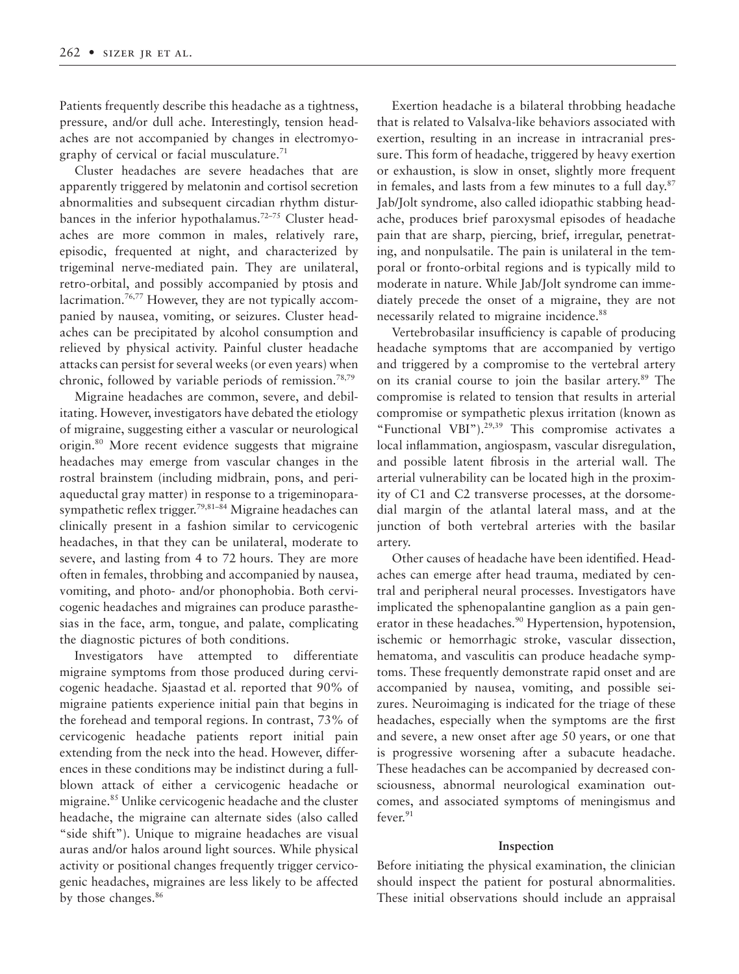Patients frequently describe this headache as a tightness, pressure, and/or dull ache. Interestingly, tension headaches are not accompanied by changes in electromyography of cervical or facial musculature. $71$ 

Cluster headaches are severe headaches that are apparently triggered by melatonin and cortisol secretion abnormalities and subsequent circadian rhythm disturbances in the inferior hypothalamus.<sup>72-75</sup> Cluster headaches are more common in males, relatively rare, episodic, frequented at night, and characterized by trigeminal nerve-mediated pain. They are unilateral, retro-orbital, and possibly accompanied by ptosis and lacrimation.<sup>76,77</sup> However, they are not typically accompanied by nausea, vomiting, or seizures. Cluster headaches can be precipitated by alcohol consumption and relieved by physical activity. Painful cluster headache attacks can persist for several weeks (or even years) when chronic, followed by variable periods of remission.<sup>78,79</sup>

Migraine headaches are common, severe, and debilitating. However, investigators have debated the etiology of migraine, suggesting either a vascular or neurological origin.80 More recent evidence suggests that migraine headaches may emerge from vascular changes in the rostral brainstem (including midbrain, pons, and periaqueductal gray matter) in response to a trigeminoparasympathetic reflex trigger.79,81–84 Migraine headaches can clinically present in a fashion similar to cervicogenic headaches, in that they can be unilateral, moderate to severe, and lasting from 4 to 72 hours. They are more often in females, throbbing and accompanied by nausea, vomiting, and photo- and/or phonophobia. Both cervicogenic headaches and migraines can produce parasthesias in the face, arm, tongue, and palate, complicating the diagnostic pictures of both conditions.

Investigators have attempted to differentiate migraine symptoms from those produced during cervicogenic headache. Sjaastad et al. reported that 90% of migraine patients experience initial pain that begins in the forehead and temporal regions. In contrast, 73% of cervicogenic headache patients report initial pain extending from the neck into the head. However, differences in these conditions may be indistinct during a fullblown attack of either a cervicogenic headache or migraine.85 Unlike cervicogenic headache and the cluster headache, the migraine can alternate sides (also called "side shift"). Unique to migraine headaches are visual auras and/or halos around light sources. While physical activity or positional changes frequently trigger cervicogenic headaches, migraines are less likely to be affected by those changes.<sup>86</sup>

Exertion headache is a bilateral throbbing headache that is related to Valsalva-like behaviors associated with exertion, resulting in an increase in intracranial pressure. This form of headache, triggered by heavy exertion or exhaustion, is slow in onset, slightly more frequent in females, and lasts from a few minutes to a full day.<sup>87</sup> Jab/Jolt syndrome, also called idiopathic stabbing headache, produces brief paroxysmal episodes of headache pain that are sharp, piercing, brief, irregular, penetrating, and nonpulsatile. The pain is unilateral in the temporal or fronto-orbital regions and is typically mild to moderate in nature. While Jab/Jolt syndrome can immediately precede the onset of a migraine, they are not necessarily related to migraine incidence.<sup>88</sup>

Vertebrobasilar insufficiency is capable of producing headache symptoms that are accompanied by vertigo and triggered by a compromise to the vertebral artery on its cranial course to join the basilar artery.<sup>89</sup> The compromise is related to tension that results in arterial compromise or sympathetic plexus irritation (known as "Functional VBI").29,39 This compromise activates a local inflammation, angiospasm, vascular disregulation, and possible latent fibrosis in the arterial wall. The arterial vulnerability can be located high in the proximity of C1 and C2 transverse processes, at the dorsomedial margin of the atlantal lateral mass, and at the junction of both vertebral arteries with the basilar artery.

Other causes of headache have been identified. Headaches can emerge after head trauma, mediated by central and peripheral neural processes. Investigators have implicated the sphenopalantine ganglion as a pain generator in these headaches.<sup>90</sup> Hypertension, hypotension, ischemic or hemorrhagic stroke, vascular dissection, hematoma, and vasculitis can produce headache symptoms. These frequently demonstrate rapid onset and are accompanied by nausea, vomiting, and possible seizures. Neuroimaging is indicated for the triage of these headaches, especially when the symptoms are the first and severe, a new onset after age 50 years, or one that is progressive worsening after a subacute headache. These headaches can be accompanied by decreased consciousness, abnormal neurological examination outcomes, and associated symptoms of meningismus and fever.<sup>91</sup>

#### **Inspection**

Before initiating the physical examination, the clinician should inspect the patient for postural abnormalities. These initial observations should include an appraisal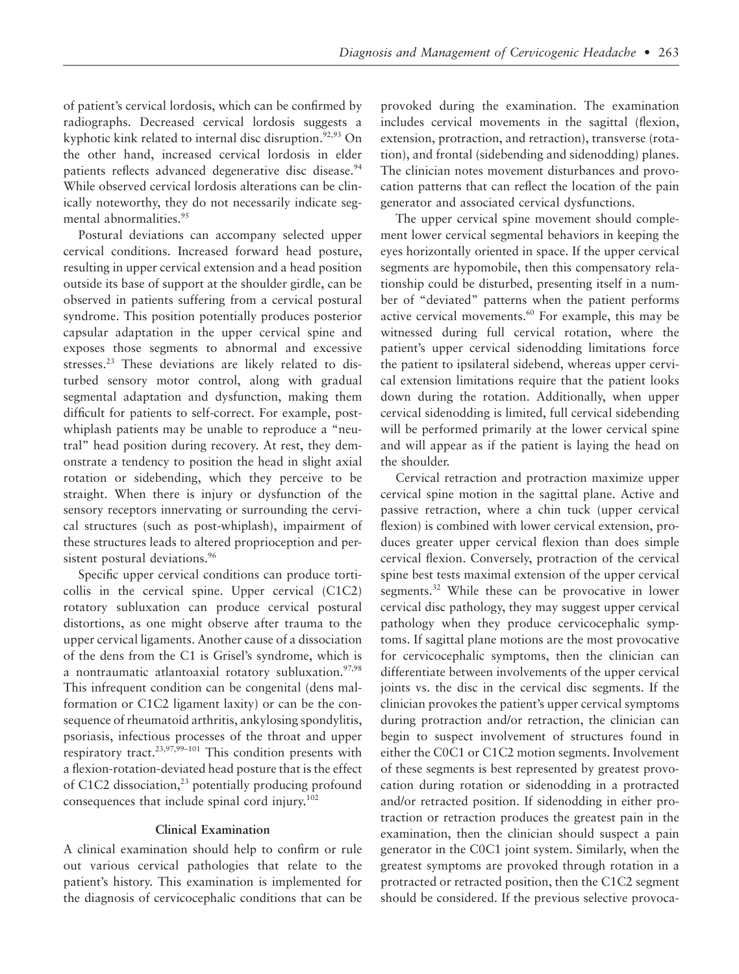of patient's cervical lordosis, which can be confirmed by radiographs. Decreased cervical lordosis suggests a kyphotic kink related to internal disc disruption.<sup>92,93</sup> On the other hand, increased cervical lordosis in elder patients reflects advanced degenerative disc disease.<sup>94</sup> While observed cervical lordosis alterations can be clinically noteworthy, they do not necessarily indicate segmental abnormalities.<sup>95</sup>

Postural deviations can accompany selected upper cervical conditions. Increased forward head posture, resulting in upper cervical extension and a head position outside its base of support at the shoulder girdle, can be observed in patients suffering from a cervical postural syndrome. This position potentially produces posterior capsular adaptation in the upper cervical spine and exposes those segments to abnormal and excessive stresses.<sup>23</sup> These deviations are likely related to disturbed sensory motor control, along with gradual segmental adaptation and dysfunction, making them difficult for patients to self-correct. For example, postwhiplash patients may be unable to reproduce a "neutral" head position during recovery. At rest, they demonstrate a tendency to position the head in slight axial rotation or sidebending, which they perceive to be straight. When there is injury or dysfunction of the sensory receptors innervating or surrounding the cervical structures (such as post-whiplash), impairment of these structures leads to altered proprioception and persistent postural deviations.<sup>96</sup>

Specific upper cervical conditions can produce torticollis in the cervical spine. Upper cervical (C1C2) rotatory subluxation can produce cervical postural distortions, as one might observe after trauma to the upper cervical ligaments. Another cause of a dissociation of the dens from the C1 is Grisel's syndrome, which is a nontraumatic atlantoaxial rotatory subluxation.<sup>97,98</sup> This infrequent condition can be congenital (dens malformation or C1C2 ligament laxity) or can be the consequence of rheumatoid arthritis, ankylosing spondylitis, psoriasis, infectious processes of the throat and upper respiratory tract.<sup>23,97,99-101</sup> This condition presents with a flexion-rotation-deviated head posture that is the effect of C1C2 dissociation, $^{23}$  potentially producing profound consequences that include spinal cord injury.102

# **Clinical Examination**

A clinical examination should help to confirm or rule out various cervical pathologies that relate to the patient's history. This examination is implemented for the diagnosis of cervicocephalic conditions that can be

provoked during the examination. The examination includes cervical movements in the sagittal (flexion, extension, protraction, and retraction), transverse (rotation), and frontal (sidebending and sidenodding) planes. The clinician notes movement disturbances and provocation patterns that can reflect the location of the pain generator and associated cervical dysfunctions.

The upper cervical spine movement should complement lower cervical segmental behaviors in keeping the eyes horizontally oriented in space. If the upper cervical segments are hypomobile, then this compensatory relationship could be disturbed, presenting itself in a number of "deviated" patterns when the patient performs active cervical movements.<sup>60</sup> For example, this may be witnessed during full cervical rotation, where the patient's upper cervical sidenodding limitations force the patient to ipsilateral sidebend, whereas upper cervical extension limitations require that the patient looks down during the rotation. Additionally, when upper cervical sidenodding is limited, full cervical sidebending will be performed primarily at the lower cervical spine and will appear as if the patient is laying the head on the shoulder.

Cervical retraction and protraction maximize upper cervical spine motion in the sagittal plane. Active and passive retraction, where a chin tuck (upper cervical flexion) is combined with lower cervical extension, produces greater upper cervical flexion than does simple cervical flexion. Conversely, protraction of the cervical spine best tests maximal extension of the upper cervical segments.32 While these can be provocative in lower cervical disc pathology, they may suggest upper cervical pathology when they produce cervicocephalic symptoms. If sagittal plane motions are the most provocative for cervicocephalic symptoms, then the clinician can differentiate between involvements of the upper cervical joints vs. the disc in the cervical disc segments. If the clinician provokes the patient's upper cervical symptoms during protraction and/or retraction, the clinician can begin to suspect involvement of structures found in either the C0C1 or C1C2 motion segments. Involvement of these segments is best represented by greatest provocation during rotation or sidenodding in a protracted and/or retracted position. If sidenodding in either protraction or retraction produces the greatest pain in the examination, then the clinician should suspect a pain generator in the C0C1 joint system. Similarly, when the greatest symptoms are provoked through rotation in a protracted or retracted position, then the C1C2 segment should be considered. If the previous selective provoca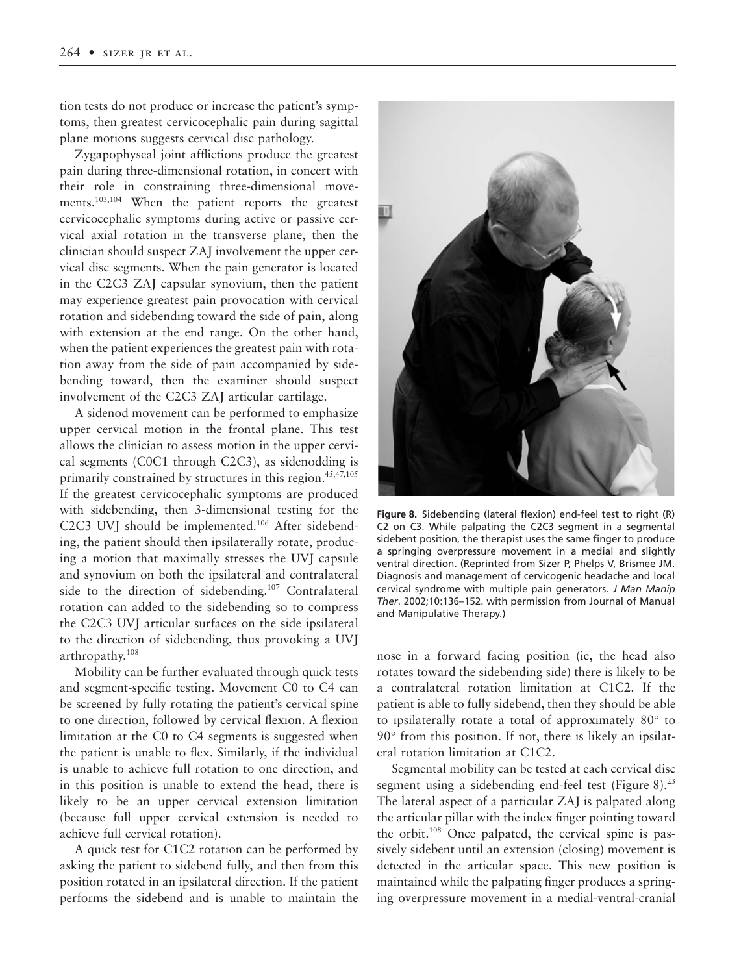tion tests do not produce or increase the patient's symptoms, then greatest cervicocephalic pain during sagittal plane motions suggests cervical disc pathology.

Zygapophyseal joint afflictions produce the greatest pain during three-dimensional rotation, in concert with their role in constraining three-dimensional movements.103,104 When the patient reports the greatest cervicocephalic symptoms during active or passive cervical axial rotation in the transverse plane, then the clinician should suspect ZAJ involvement the upper cervical disc segments. When the pain generator is located in the C2C3 ZAJ capsular synovium, then the patient may experience greatest pain provocation with cervical rotation and sidebending toward the side of pain, along with extension at the end range. On the other hand, when the patient experiences the greatest pain with rotation away from the side of pain accompanied by sidebending toward, then the examiner should suspect involvement of the C2C3 ZAJ articular cartilage.

A sidenod movement can be performed to emphasize upper cervical motion in the frontal plane. This test allows the clinician to assess motion in the upper cervical segments (C0C1 through C2C3), as sidenodding is primarily constrained by structures in this region.<sup>45,47,105</sup> If the greatest cervicocephalic symptoms are produced with sidebending, then 3-dimensional testing for the C2C3 UVJ should be implemented.<sup>106</sup> After sidebending, the patient should then ipsilaterally rotate, producing a motion that maximally stresses the UVJ capsule and synovium on both the ipsilateral and contralateral side to the direction of sidebending.107 Contralateral rotation can added to the sidebending so to compress the C2C3 UVJ articular surfaces on the side ipsilateral to the direction of sidebending, thus provoking a UVJ arthropathy.108

Mobility can be further evaluated through quick tests and segment-specific testing. Movement C0 to C4 can be screened by fully rotating the patient's cervical spine to one direction, followed by cervical flexion. A flexion limitation at the C0 to C4 segments is suggested when the patient is unable to flex. Similarly, if the individual is unable to achieve full rotation to one direction, and in this position is unable to extend the head, there is likely to be an upper cervical extension limitation (because full upper cervical extension is needed to achieve full cervical rotation).

A quick test for C1C2 rotation can be performed by asking the patient to sidebend fully, and then from this position rotated in an ipsilateral direction. If the patient performs the sidebend and is unable to maintain the



**Figure 8.** Sidebending (lateral flexion) end-feel test to right (R) C2 on C3. While palpating the C2C3 segment in a segmental sidebent position, the therapist uses the same finger to produce a springing overpressure movement in a medial and slightly ventral direction. (Reprinted from Sizer P, Phelps V, Brismee JM. Diagnosis and management of cervicogenic headache and local cervical syndrome with multiple pain generators. *J Man Manip Ther*. 2002;10:136–152. with permission from Journal of Manual and Manipulative Therapy.)

nose in a forward facing position (ie, the head also rotates toward the sidebending side) there is likely to be a contralateral rotation limitation at C1C2. If the patient is able to fully sidebend, then they should be able to ipsilaterally rotate a total of approximately 80∞ to 90° from this position. If not, there is likely an ipsilateral rotation limitation at C1C2.

Segmental mobility can be tested at each cervical disc segment using a sidebending end-feel test (Figure 8). $^{23}$ The lateral aspect of a particular ZAJ is palpated along the articular pillar with the index finger pointing toward the orbit.<sup>108</sup> Once palpated, the cervical spine is passively sidebent until an extension (closing) movement is detected in the articular space. This new position is maintained while the palpating finger produces a springing overpressure movement in a medial-ventral-cranial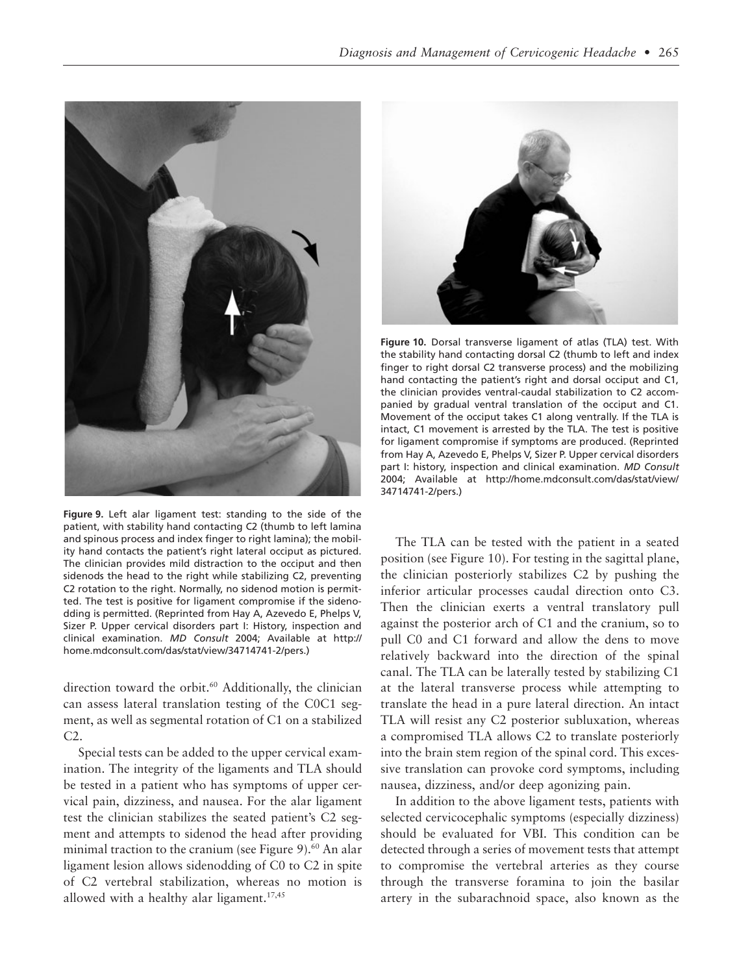

**Figure 9.** Left alar ligament test: standing to the side of the patient, with stability hand contacting C2 (thumb to left lamina and spinous process and index finger to right lamina); the mobility hand contacts the patient's right lateral occiput as pictured. The clinician provides mild distraction to the occiput and then sidenods the head to the right while stabilizing C2, preventing C2 rotation to the right. Normally, no sidenod motion is permitted. The test is positive for ligament compromise if the sidenodding is permitted. (Reprinted from Hay A, Azevedo E, Phelps V, Sizer P. Upper cervical disorders part I: History, inspection and clinical examination. *MD Consult* 2004; Available at <http://> home.mdconsult.com/das/stat/view/34714741-2/pers.)

direction toward the orbit.<sup>60</sup> Additionally, the clinician can assess lateral translation testing of the C0C1 segment, as well as segmental rotation of C1 on a stabilized C2.

Special tests can be added to the upper cervical examination. The integrity of the ligaments and TLA should be tested in a patient who has symptoms of upper cervical pain, dizziness, and nausea. For the alar ligament test the clinician stabilizes the seated patient's C2 segment and attempts to sidenod the head after providing minimal traction to the cranium (see Figure  $9$ ).<sup>60</sup> An alar ligament lesion allows sidenodding of C0 to C2 in spite of C2 vertebral stabilization, whereas no motion is allowed with a healthy alar ligament.<sup>17,45</sup>



**Figure 10.** Dorsal transverse ligament of atlas (TLA) test. With the stability hand contacting dorsal C2 (thumb to left and index finger to right dorsal C2 transverse process) and the mobilizing hand contacting the patient's right and dorsal occiput and C1, the clinician provides ventral-caudal stabilization to C2 accompanied by gradual ventral translation of the occiput and C1. Movement of the occiput takes C1 along ventrally. If the TLA is intact, C1 movement is arrested by the TLA. The test is positive for ligament compromise if symptoms are produced. (Reprinted from Hay A, Azevedo E, Phelps V, Sizer P. Upper cervical disorders part I: history, inspection and clinical examination. *MD Consult* 2004; Available at <http://home.mdconsult.com/das/stat/view/> 34714741-2/pers.)

The TLA can be tested with the patient in a seated position (see Figure 10). For testing in the sagittal plane, the clinician posteriorly stabilizes C2 by pushing the inferior articular processes caudal direction onto C3. Then the clinician exerts a ventral translatory pull against the posterior arch of C1 and the cranium, so to pull C0 and C1 forward and allow the dens to move relatively backward into the direction of the spinal canal. The TLA can be laterally tested by stabilizing C1 at the lateral transverse process while attempting to translate the head in a pure lateral direction. An intact TLA will resist any C2 posterior subluxation, whereas a compromised TLA allows C2 to translate posteriorly into the brain stem region of the spinal cord. This excessive translation can provoke cord symptoms, including nausea, dizziness, and/or deep agonizing pain.

In addition to the above ligament tests, patients with selected cervicocephalic symptoms (especially dizziness) should be evaluated for VBI. This condition can be detected through a series of movement tests that attempt to compromise the vertebral arteries as they course through the transverse foramina to join the basilar artery in the subarachnoid space, also known as the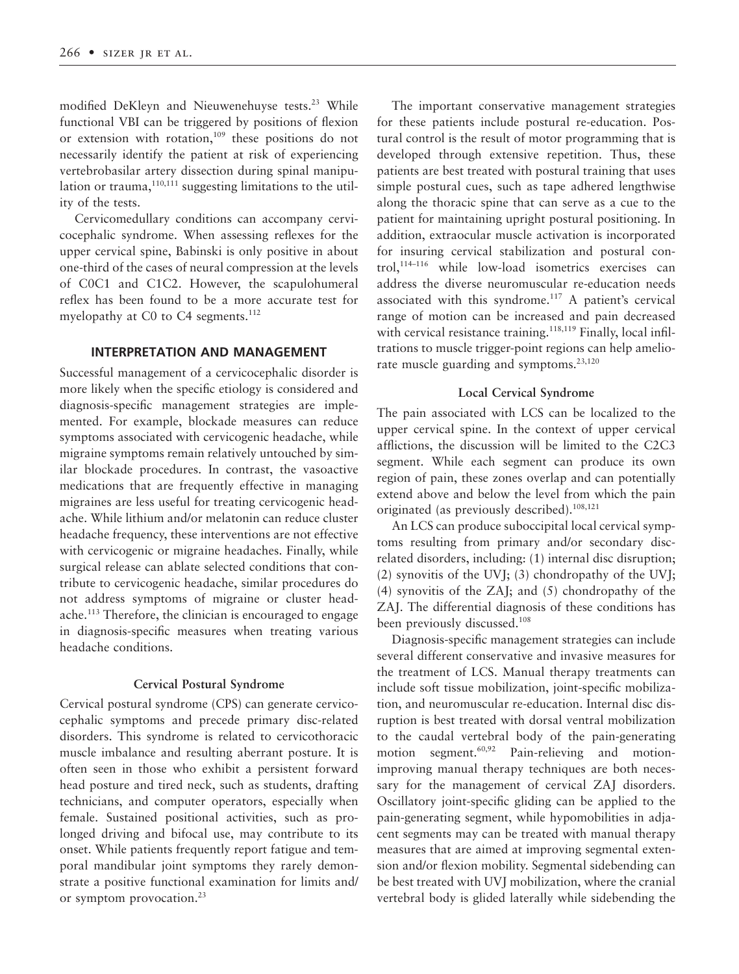modified DeKleyn and Nieuwenehuyse tests.<sup>23</sup> While functional VBI can be triggered by positions of flexion or extension with rotation,<sup>109</sup> these positions do not necessarily identify the patient at risk of experiencing vertebrobasilar artery dissection during spinal manipulation or trauma, $110,111$  suggesting limitations to the utility of the tests.

Cervicomedullary conditions can accompany cervicocephalic syndrome. When assessing reflexes for the upper cervical spine, Babinski is only positive in about one-third of the cases of neural compression at the levels of C0C1 and C1C2. However, the scapulohumeral reflex has been found to be a more accurate test for myelopathy at C0 to C4 segments.<sup>112</sup>

# **INTERPRETATION AND MANAGEMENT**

Successful management of a cervicocephalic disorder is more likely when the specific etiology is considered and diagnosis-specific management strategies are implemented. For example, blockade measures can reduce symptoms associated with cervicogenic headache, while migraine symptoms remain relatively untouched by similar blockade procedures. In contrast, the vasoactive medications that are frequently effective in managing migraines are less useful for treating cervicogenic headache. While lithium and/or melatonin can reduce cluster headache frequency, these interventions are not effective with cervicogenic or migraine headaches. Finally, while surgical release can ablate selected conditions that contribute to cervicogenic headache, similar procedures do not address symptoms of migraine or cluster headache.113 Therefore, the clinician is encouraged to engage in diagnosis-specific measures when treating various headache conditions.

#### **Cervical Postural Syndrome**

Cervical postural syndrome (CPS) can generate cervicocephalic symptoms and precede primary disc-related disorders. This syndrome is related to cervicothoracic muscle imbalance and resulting aberrant posture. It is often seen in those who exhibit a persistent forward head posture and tired neck, such as students, drafting technicians, and computer operators, especially when female. Sustained positional activities, such as prolonged driving and bifocal use, may contribute to its onset. While patients frequently report fatigue and temporal mandibular joint symptoms they rarely demonstrate a positive functional examination for limits and/ or symptom provocation.<sup>23</sup>

The important conservative management strategies for these patients include postural re-education. Postural control is the result of motor programming that is developed through extensive repetition. Thus, these patients are best treated with postural training that uses simple postural cues, such as tape adhered lengthwise along the thoracic spine that can serve as a cue to the patient for maintaining upright postural positioning. In addition, extraocular muscle activation is incorporated for insuring cervical stabilization and postural con- $\text{trol}$ ,  $^{114-116}$  while low-load isometrics exercises can address the diverse neuromuscular re-education needs associated with this syndrome. $117$  A patient's cervical range of motion can be increased and pain decreased with cervical resistance training.<sup>118,119</sup> Finally, local infiltrations to muscle trigger-point regions can help ameliorate muscle guarding and symptoms.<sup>23,120</sup>

### **Local Cervical Syndrome**

The pain associated with LCS can be localized to the upper cervical spine. In the context of upper cervical afflictions, the discussion will be limited to the C2C3 segment. While each segment can produce its own region of pain, these zones overlap and can potentially extend above and below the level from which the pain originated (as previously described).108,121

An LCS can produce suboccipital local cervical symptoms resulting from primary and/or secondary discrelated disorders, including: (1) internal disc disruption; (2) synovitis of the UVJ; (3) chondropathy of the UVJ; (4) synovitis of the ZAJ; and (5) chondropathy of the ZAJ. The differential diagnosis of these conditions has been previously discussed.<sup>108</sup>

Diagnosis-specific management strategies can include several different conservative and invasive measures for the treatment of LCS. Manual therapy treatments can include soft tissue mobilization, joint-specific mobilization, and neuromuscular re-education. Internal disc disruption is best treated with dorsal ventral mobilization to the caudal vertebral body of the pain-generating motion segment.60,92 Pain-relieving and motionimproving manual therapy techniques are both necessary for the management of cervical ZAJ disorders. Oscillatory joint-specific gliding can be applied to the pain-generating segment, while hypomobilities in adjacent segments may can be treated with manual therapy measures that are aimed at improving segmental extension and/or flexion mobility. Segmental sidebending can be best treated with UVJ mobilization, where the cranial vertebral body is glided laterally while sidebending the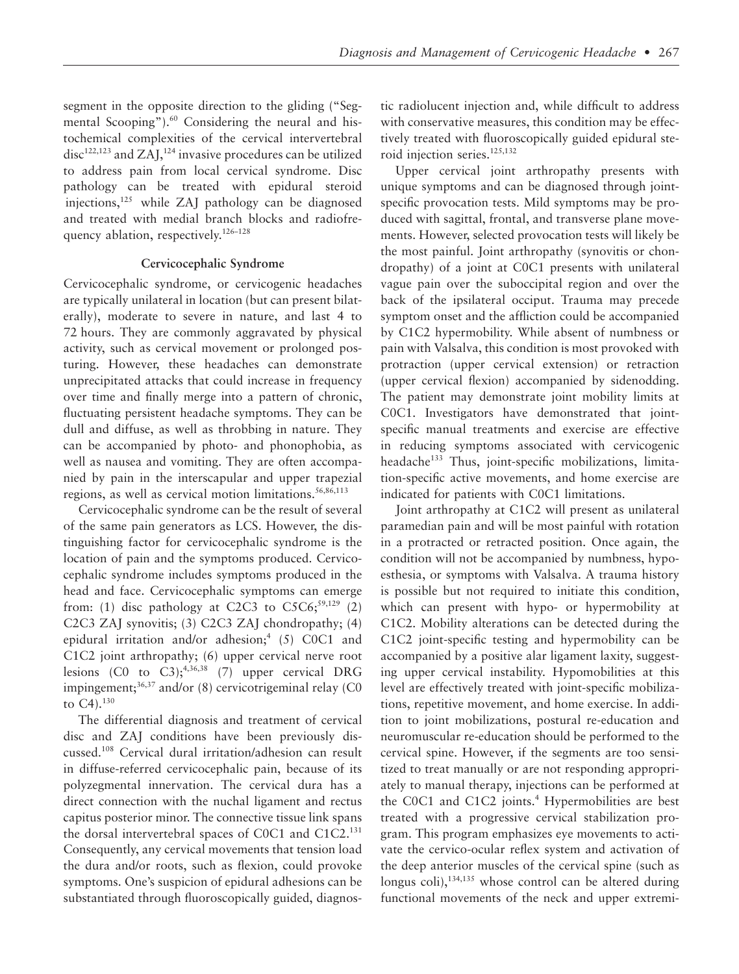segment in the opposite direction to the gliding ("Segmental Scooping").<sup>60</sup> Considering the neural and histochemical complexities of the cervical intervertebral  $disc^{122,123}$  and  $ZAI$ ,  $^{124}$  invasive procedures can be utilized to address pain from local cervical syndrome. Disc pathology can be treated with epidural steroid injections,<sup>125</sup> while ZAJ pathology can be diagnosed and treated with medial branch blocks and radiofrequency ablation, respectively.126–128

# **Cervicocephalic Syndrome**

Cervicocephalic syndrome, or cervicogenic headaches are typically unilateral in location (but can present bilaterally), moderate to severe in nature, and last 4 to 72 hours. They are commonly aggravated by physical activity, such as cervical movement or prolonged posturing. However, these headaches can demonstrate unprecipitated attacks that could increase in frequency over time and finally merge into a pattern of chronic, fluctuating persistent headache symptoms. They can be dull and diffuse, as well as throbbing in nature. They can be accompanied by photo- and phonophobia, as well as nausea and vomiting. They are often accompanied by pain in the interscapular and upper trapezial regions, as well as cervical motion limitations.<sup>56,86,113</sup>

Cervicocephalic syndrome can be the result of several of the same pain generators as LCS. However, the distinguishing factor for cervicocephalic syndrome is the location of pain and the symptoms produced. Cervicocephalic syndrome includes symptoms produced in the head and face. Cervicocephalic symptoms can emerge from: (1) disc pathology at C2C3 to  $C5C6$ ;<sup>59,129</sup> (2) C2C3 ZAJ synovitis; (3) C2C3 ZAJ chondropathy; (4) epidural irritation and/or adhesion;<sup>4</sup> (5) C0C1 and C1C2 joint arthropathy; (6) upper cervical nerve root lesions (C0 to C3);<sup>4,36,38</sup> (7) upper cervical DRG impingement;<sup>36,37</sup> and/or (8) cervicotrigeminal relay (C0 to  $C4$ ).<sup>130</sup>

The differential diagnosis and treatment of cervical disc and ZAJ conditions have been previously discussed.108 Cervical dural irritation/adhesion can result in diffuse-referred cervicocephalic pain, because of its polyzegmental innervation. The cervical dura has a direct connection with the nuchal ligament and rectus capitus posterior minor. The connective tissue link spans the dorsal intervertebral spaces of C0C1 and C1C2.<sup>131</sup> Consequently, any cervical movements that tension load the dura and/or roots, such as flexion, could provoke symptoms. One's suspicion of epidural adhesions can be substantiated through fluoroscopically guided, diagnostic radiolucent injection and, while difficult to address with conservative measures, this condition may be effectively treated with fluoroscopically guided epidural steroid injection series.<sup>125,132</sup>

Upper cervical joint arthropathy presents with unique symptoms and can be diagnosed through jointspecific provocation tests. Mild symptoms may be produced with sagittal, frontal, and transverse plane movements. However, selected provocation tests will likely be the most painful. Joint arthropathy (synovitis or chondropathy) of a joint at C0C1 presents with unilateral vague pain over the suboccipital region and over the back of the ipsilateral occiput. Trauma may precede symptom onset and the affliction could be accompanied by C1C2 hypermobility. While absent of numbness or pain with Valsalva, this condition is most provoked with protraction (upper cervical extension) or retraction (upper cervical flexion) accompanied by sidenodding. The patient may demonstrate joint mobility limits at C0C1. Investigators have demonstrated that jointspecific manual treatments and exercise are effective in reducing symptoms associated with cervicogenic headache<sup>133</sup> Thus, joint-specific mobilizations, limitation-specific active movements, and home exercise are indicated for patients with C0C1 limitations.

Joint arthropathy at C1C2 will present as unilateral paramedian pain and will be most painful with rotation in a protracted or retracted position. Once again, the condition will not be accompanied by numbness, hypoesthesia, or symptoms with Valsalva. A trauma history is possible but not required to initiate this condition, which can present with hypo- or hypermobility at C1C2. Mobility alterations can be detected during the C1C2 joint-specific testing and hypermobility can be accompanied by a positive alar ligament laxity, suggesting upper cervical instability. Hypomobilities at this level are effectively treated with joint-specific mobilizations, repetitive movement, and home exercise. In addition to joint mobilizations, postural re-education and neuromuscular re-education should be performed to the cervical spine. However, if the segments are too sensitized to treat manually or are not responding appropriately to manual therapy, injections can be performed at the C0C1 and C1C2 joints.<sup>4</sup> Hypermobilities are best treated with a progressive cervical stabilization program. This program emphasizes eye movements to activate the cervico-ocular reflex system and activation of the deep anterior muscles of the cervical spine (such as longus coli), $134,135$  whose control can be altered during functional movements of the neck and upper extremi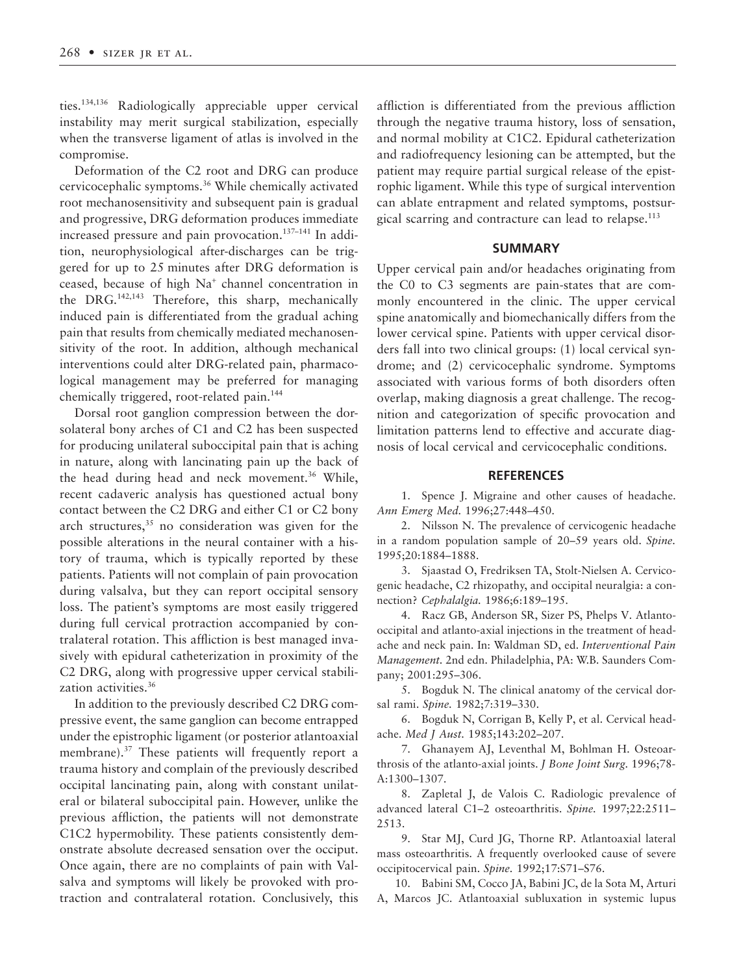ties.134,136 Radiologically appreciable upper cervical instability may merit surgical stabilization, especially when the transverse ligament of atlas is involved in the compromise.

Deformation of the C2 root and DRG can produce cervicocephalic symptoms.36 While chemically activated root mechanosensitivity and subsequent pain is gradual and progressive, DRG deformation produces immediate increased pressure and pain provocation.137–141 In addition, neurophysiological after-discharges can be triggered for up to 25 minutes after DRG deformation is ceased, because of high Na<sup>+</sup> channel concentration in the DRG.142,143 Therefore, this sharp, mechanically induced pain is differentiated from the gradual aching pain that results from chemically mediated mechanosensitivity of the root. In addition, although mechanical interventions could alter DRG-related pain, pharmacological management may be preferred for managing chemically triggered, root-related pain.<sup>144</sup>

Dorsal root ganglion compression between the dorsolateral bony arches of C1 and C2 has been suspected for producing unilateral suboccipital pain that is aching in nature, along with lancinating pain up the back of the head during head and neck movement.<sup>36</sup> While, recent cadaveric analysis has questioned actual bony contact between the C2 DRG and either C1 or C2 bony arch structures, $35$  no consideration was given for the possible alterations in the neural container with a history of trauma, which is typically reported by these patients. Patients will not complain of pain provocation during valsalva, but they can report occipital sensory loss. The patient's symptoms are most easily triggered during full cervical protraction accompanied by contralateral rotation. This affliction is best managed invasively with epidural catheterization in proximity of the C2 DRG, along with progressive upper cervical stabilization activities.<sup>36</sup>

In addition to the previously described C2 DRG compressive event, the same ganglion can become entrapped under the epistrophic ligament (or posterior atlantoaxial membrane).<sup>37</sup> These patients will frequently report a trauma history and complain of the previously described occipital lancinating pain, along with constant unilateral or bilateral suboccipital pain. However, unlike the previous affliction, the patients will not demonstrate C1C2 hypermobility. These patients consistently demonstrate absolute decreased sensation over the occiput. Once again, there are no complaints of pain with Valsalva and symptoms will likely be provoked with protraction and contralateral rotation. Conclusively, this affliction is differentiated from the previous affliction through the negative trauma history, loss of sensation, and normal mobility at C1C2. Epidural catheterization and radiofrequency lesioning can be attempted, but the patient may require partial surgical release of the epistrophic ligament. While this type of surgical intervention can ablate entrapment and related symptoms, postsurgical scarring and contracture can lead to relapse.<sup>113</sup>

# **SUMMARY**

Upper cervical pain and/or headaches originating from the C0 to C3 segments are pain-states that are commonly encountered in the clinic. The upper cervical spine anatomically and biomechanically differs from the lower cervical spine. Patients with upper cervical disorders fall into two clinical groups: (1) local cervical syndrome; and (2) cervicocephalic syndrome. Symptoms associated with various forms of both disorders often overlap, making diagnosis a great challenge. The recognition and categorization of specific provocation and limitation patterns lend to effective and accurate diagnosis of local cervical and cervicocephalic conditions.

# **REFERENCES**

1. Spence J. Migraine and other causes of headache. *Ann Emerg Med.* 1996;27:448–450.

2. Nilsson N. The prevalence of cervicogenic headache in a random population sample of 20–59 years old. *Spine.* 1995;20:1884–1888.

3. Sjaastad O, Fredriksen TA, Stolt-Nielsen A. Cervicogenic headache, C2 rhizopathy, and occipital neuralgia: a connection? *Cephalalgia.* 1986;6:189–195.

4. Racz GB, Anderson SR, Sizer PS, Phelps V. Atlantooccipital and atlanto-axial injections in the treatment of headache and neck pain. In: Waldman SD, ed. *Interventional Pain Management.* 2nd edn. Philadelphia, PA: W.B. Saunders Company; 2001:295–306.

5. Bogduk N. The clinical anatomy of the cervical dorsal rami. *Spine.* 1982;7:319–330.

6. Bogduk N, Corrigan B, Kelly P, et al. Cervical headache. *Med J Aust.* 1985;143:202–207.

7. Ghanayem AJ, Leventhal M, Bohlman H. Osteoarthrosis of the atlanto-axial joints. *J Bone Joint Surg.* 1996;78- A:1300–1307.

8. Zapletal J, de Valois C. Radiologic prevalence of advanced lateral C1–2 osteoarthritis. *Spine.* 1997;22:2511– 2513.

9. Star MJ, Curd JG, Thorne RP. Atlantoaxial lateral mass osteoarthritis. A frequently overlooked cause of severe occipitocervical pain. *Spine.* 1992;17:S71–S76.

10. Babini SM, Cocco JA, Babini JC, de la Sota M, Arturi A, Marcos JC. Atlantoaxial subluxation in systemic lupus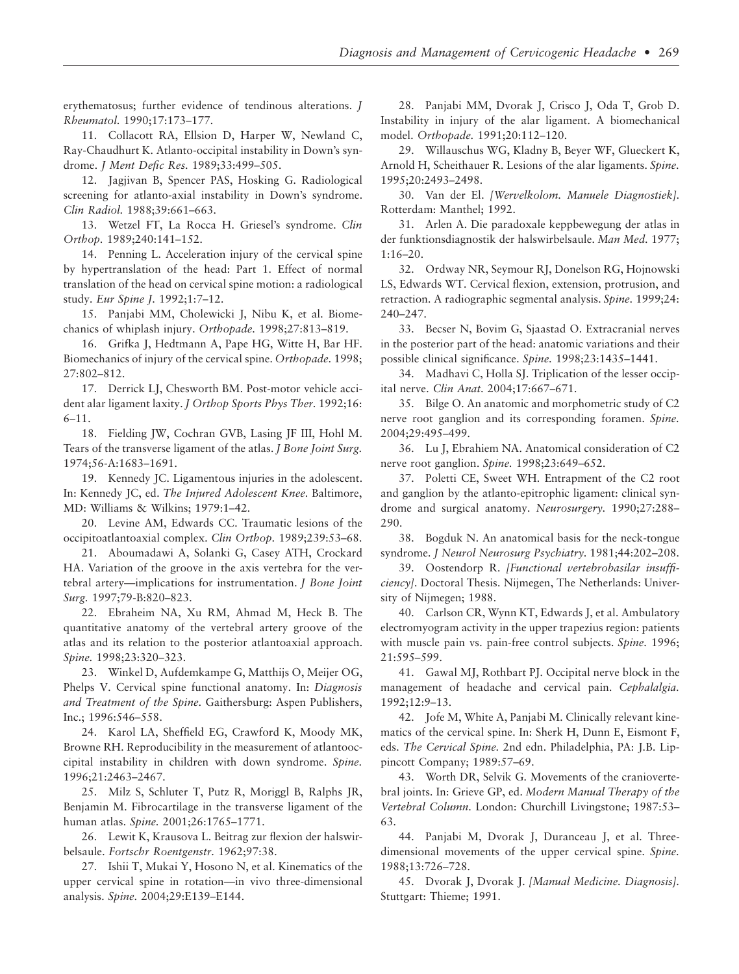erythematosus; further evidence of tendinous alterations. *J Rheumatol.* 1990;17:173–177.

11. Collacott RA, Ellsion D, Harper W, Newland C, Ray-Chaudhurt K. Atlanto-occipital instability in Down's syndrome. *J Ment Defic Res.* 1989;33:499–505.

12. Jagjivan B, Spencer PAS, Hosking G. Radiological screening for atlanto-axial instability in Down's syndrome. *Clin Radiol.* 1988;39:661–663.

13. Wetzel FT, La Rocca H. Griesel's syndrome. *Clin Orthop.* 1989;240:141–152.

14. Penning L. Acceleration injury of the cervical spine by hypertranslation of the head: Part 1. Effect of normal translation of the head on cervical spine motion: a radiological study. *Eur Spine J.* 1992;1:7–12.

15. Panjabi MM, Cholewicki J, Nibu K, et al. Biomechanics of whiplash injury. *Orthopade.* 1998;27:813–819.

16. Grifka J, Hedtmann A, Pape HG, Witte H, Bar HF. Biomechanics of injury of the cervical spine. *Orthopade.* 1998; 27:802–812.

17. Derrick LJ, Chesworth BM. Post-motor vehicle accident alar ligament laxity. *J Orthop Sports Phys Ther.* 1992;16: 6–11.

18. Fielding JW, Cochran GVB, Lasing JF III, Hohl M. Tears of the transverse ligament of the atlas. *J Bone Joint Surg.* 1974;56-A:1683–1691.

19. Kennedy JC. Ligamentous injuries in the adolescent. In: Kennedy JC, ed. *The Injured Adolescent Knee.* Baltimore, MD: Williams & Wilkins; 1979:1–42.

20. Levine AM, Edwards CC. Traumatic lesions of the occipitoatlantoaxial complex. *Clin Orthop.* 1989;239:53–68.

21. Aboumadawi A, Solanki G, Casey ATH, Crockard HA. Variation of the groove in the axis vertebra for the vertebral artery—implications for instrumentation. *J Bone Joint Surg.* 1997;79-B:820–823.

22. Ebraheim NA, Xu RM, Ahmad M, Heck B. The quantitative anatomy of the vertebral artery groove of the atlas and its relation to the posterior atlantoaxial approach. *Spine.* 1998;23:320–323.

23. Winkel D, Aufdemkampe G, Matthijs O, Meijer OG, Phelps V. Cervical spine functional anatomy. In: *Diagnosis and Treatment of the Spine.* Gaithersburg: Aspen Publishers, Inc.; 1996:546–558.

24. Karol LA, Sheffield EG, Crawford K, Moody MK, Browne RH. Reproducibility in the measurement of atlantooccipital instability in children with down syndrome. *Spine.* 1996;21:2463–2467.

25. Milz S, Schluter T, Putz R, Moriggl B, Ralphs JR, Benjamin M. Fibrocartilage in the transverse ligament of the human atlas. *Spine.* 2001;26:1765–1771.

26. Lewit K, Krausova L. Beitrag zur flexion der halswirbelsaule. *Fortschr Roentgenstr.* 1962;97:38.

27. Ishii T, Mukai Y, Hosono N, et al. Kinematics of the upper cervical spine in rotation—in vivo three-dimensional analysis. *Spine.* 2004;29:E139–E144.

28. Panjabi MM, Dvorak J, Crisco J, Oda T, Grob D. Instability in injury of the alar ligament. A biomechanical model. *Orthopade.* 1991;20:112–120.

29. Willauschus WG, Kladny B, Beyer WF, Glueckert K, Arnold H, Scheithauer R. Lesions of the alar ligaments. *Spine.* 1995;20:2493–2498.

30. Van der El. *[Wervelkolom. Manuele Diagnostiek].* Rotterdam: Manthel; 1992.

31. Arlen A. Die paradoxale keppbewegung der atlas in der funktionsdiagnostik der halswirbelsaule. *Man Med.* 1977; 1:16–20.

32. Ordway NR, Seymour RJ, Donelson RG, Hojnowski LS, Edwards WT. Cervical flexion, extension, protrusion, and retraction. A radiographic segmental analysis. *Spine.* 1999;24: 240–247.

33. Becser N, Bovim G, Sjaastad O. Extracranial nerves in the posterior part of the head: anatomic variations and their possible clinical significance. *Spine.* 1998;23:1435–1441.

34. Madhavi C, Holla SJ. Triplication of the lesser occipital nerve. *Clin Anat.* 2004;17:667–671.

35. Bilge O. An anatomic and morphometric study of C2 nerve root ganglion and its corresponding foramen. *Spine.* 2004;29:495–499.

36. Lu J, Ebrahiem NA. Anatomical consideration of C2 nerve root ganglion. *Spine.* 1998;23:649–652.

37. Poletti CE, Sweet WH. Entrapment of the C2 root and ganglion by the atlanto-epitrophic ligament: clinical syndrome and surgical anatomy. *Neurosurgery.* 1990;27:288– 290.

38. Bogduk N. An anatomical basis for the neck-tongue syndrome. *J Neurol Neurosurg Psychiatry.* 1981;44:202–208.

39. Oostendorp R. *[Functional vertebrobasilar insufficiency]*. Doctoral Thesis. Nijmegen, The Netherlands: University of Nijmegen; 1988.

40. Carlson CR, Wynn KT, Edwards J, et al. Ambulatory electromyogram activity in the upper trapezius region: patients with muscle pain vs. pain-free control subjects. *Spine.* 1996; 21:595–599.

41. Gawal MJ, Rothbart PJ. Occipital nerve block in the management of headache and cervical pain. *Cephalalgia.* 1992;12:9–13.

42. Jofe M, White A, Panjabi M. Clinically relevant kinematics of the cervical spine. In: Sherk H, Dunn E, Eismont F, eds. *The Cervical Spine.* 2nd edn. Philadelphia, PA: J.B. Lippincott Company; 1989:57–69.

43. Worth DR, Selvik G. Movements of the craniovertebral joints. In: Grieve GP, ed. *Modern Manual Therapy of the Vertebral Column.* London: Churchill Livingstone; 1987:53– 63.

44. Panjabi M, Dvorak J, Duranceau J, et al. Threedimensional movements of the upper cervical spine. *Spine.* 1988;13:726–728.

45. Dvorak J, Dvorak J. *[Manual Medicine. Diagnosis].* Stuttgart: Thieme; 1991.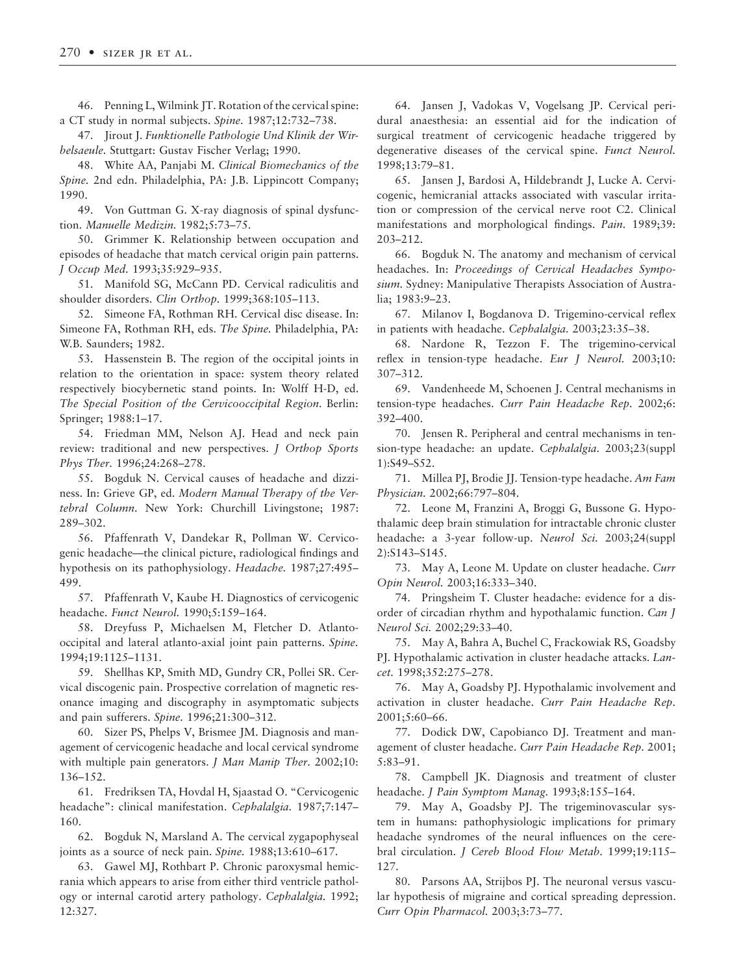46. Penning L, Wilmink JT. Rotation of the cervical spine: a CT study in normal subjects. *Spine.* 1987;12:732–738.

47. Jirout J. *Funktionelle Pathologie Und Klinik der Wirbelsaeule.* Stuttgart: Gustav Fischer Verlag; 1990.

48. White AA, Panjabi M. *Clinical Biomechanics of the Spine.* 2nd edn. Philadelphia, PA: J.B. Lippincott Company; 1990.

49. Von Guttman G. X-ray diagnosis of spinal dysfunction. *Manuelle Medizin.* 1982;5:73–75.

50. Grimmer K. Relationship between occupation and episodes of headache that match cervical origin pain patterns. *J Occup Med.* 1993;35:929–935.

51. Manifold SG, McCann PD. Cervical radiculitis and shoulder disorders. *Clin Orthop.* 1999;368:105–113.

52. Simeone FA, Rothman RH. Cervical disc disease. In: Simeone FA, Rothman RH, eds. *The Spine.* Philadelphia, PA: W.B. Saunders; 1982.

53. Hassenstein B. The region of the occipital joints in relation to the orientation in space: system theory related respectively biocybernetic stand points. In: Wolff H-D, ed. *The Special Position of the Cervicooccipital Region.* Berlin: Springer; 1988:1–17.

54. Friedman MM, Nelson AJ. Head and neck pain review: traditional and new perspectives. *J Orthop Sports Phys Ther.* 1996;24:268–278.

55. Bogduk N. Cervical causes of headache and dizziness. In: Grieve GP, ed. *Modern Manual Therapy of the Vertebral Column.* New York: Churchill Livingstone; 1987: 289–302.

56. Pfaffenrath V, Dandekar R, Pollman W. Cervicogenic headache—the clinical picture, radiological findings and hypothesis on its pathophysiology. *Headache.* 1987;27:495– 499.

57. Pfaffenrath V, Kaube H. Diagnostics of cervicogenic headache. *Funct Neurol.* 1990;5:159–164.

58. Dreyfuss P, Michaelsen M, Fletcher D. Atlantooccipital and lateral atlanto-axial joint pain patterns. *Spine.* 1994;19:1125–1131.

59. Shellhas KP, Smith MD, Gundry CR, Pollei SR. Cervical discogenic pain. Prospective correlation of magnetic resonance imaging and discography in asymptomatic subjects and pain sufferers. *Spine.* 1996;21:300–312.

60. Sizer PS, Phelps V, Brismee JM. Diagnosis and management of cervicogenic headache and local cervical syndrome with multiple pain generators. *J Man Manip Ther.* 2002;10: 136–152.

61. Fredriksen TA, Hovdal H, Sjaastad O. "Cervicogenic headache": clinical manifestation. *Cephalalgia.* 1987;7:147– 160.

62. Bogduk N, Marsland A. The cervical zygapophyseal joints as a source of neck pain. *Spine.* 1988;13:610–617.

63. Gawel MJ, Rothbart P. Chronic paroxysmal hemicrania which appears to arise from either third ventricle pathology or internal carotid artery pathology. *Cephalalgia.* 1992; 12:327.

64. Jansen J, Vadokas V, Vogelsang JP. Cervical peridural anaesthesia: an essential aid for the indication of surgical treatment of cervicogenic headache triggered by degenerative diseases of the cervical spine. *Funct Neurol.* 1998;13:79–81.

65. Jansen J, Bardosi A, Hildebrandt J, Lucke A. Cervicogenic, hemicranial attacks associated with vascular irritation or compression of the cervical nerve root C2. Clinical manifestations and morphological findings. *Pain.* 1989;39: 203–212.

66. Bogduk N. The anatomy and mechanism of cervical headaches. In: *Proceedings of Cervical Headaches Symposium.* Sydney: Manipulative Therapists Association of Australia; 1983:9–23.

67. Milanov I, Bogdanova D. Trigemino-cervical reflex in patients with headache. *Cephalalgia.* 2003;23:35–38.

68. Nardone R, Tezzon F. The trigemino-cervical reflex in tension-type headache. *Eur J Neurol.* 2003;10: 307–312.

69. Vandenheede M, Schoenen J. Central mechanisms in tension-type headaches. *Curr Pain Headache Rep.* 2002;6: 392–400.

70. Jensen R. Peripheral and central mechanisms in tension-type headache: an update. *Cephalalgia.* 2003;23(suppl 1):S49–S52.

71. Millea PJ, Brodie JJ. Tension-type headache. *Am Fam Physician.* 2002;66:797–804.

72. Leone M, Franzini A, Broggi G, Bussone G. Hypothalamic deep brain stimulation for intractable chronic cluster headache: a 3-year follow-up. *Neurol Sci.* 2003;24(suppl 2):S143–S145.

73. May A, Leone M. Update on cluster headache. *Curr Opin Neurol.* 2003;16:333–340.

74. Pringsheim T. Cluster headache: evidence for a disorder of circadian rhythm and hypothalamic function. *Can J Neurol Sci.* 2002;29:33–40.

75. May A, Bahra A, Buchel C, Frackowiak RS, Goadsby PJ. Hypothalamic activation in cluster headache attacks. *Lancet.* 1998;352:275–278.

76. May A, Goadsby PJ. Hypothalamic involvement and activation in cluster headache. *Curr Pain Headache Rep.* 2001;5:60–66.

77. Dodick DW, Capobianco DJ. Treatment and management of cluster headache. *Curr Pain Headache Rep.* 2001; 5:83–91.

78. Campbell JK. Diagnosis and treatment of cluster headache. *J Pain Symptom Manag.* 1993;8:155–164.

79. May A, Goadsby PJ. The trigeminovascular system in humans: pathophysiologic implications for primary headache syndromes of the neural influences on the cerebral circulation. *J Cereb Blood Flow Metab.* 1999;19:115– 127.

80. Parsons AA, Strijbos PJ. The neuronal versus vascular hypothesis of migraine and cortical spreading depression. *Curr Opin Pharmacol.* 2003;3:73–77.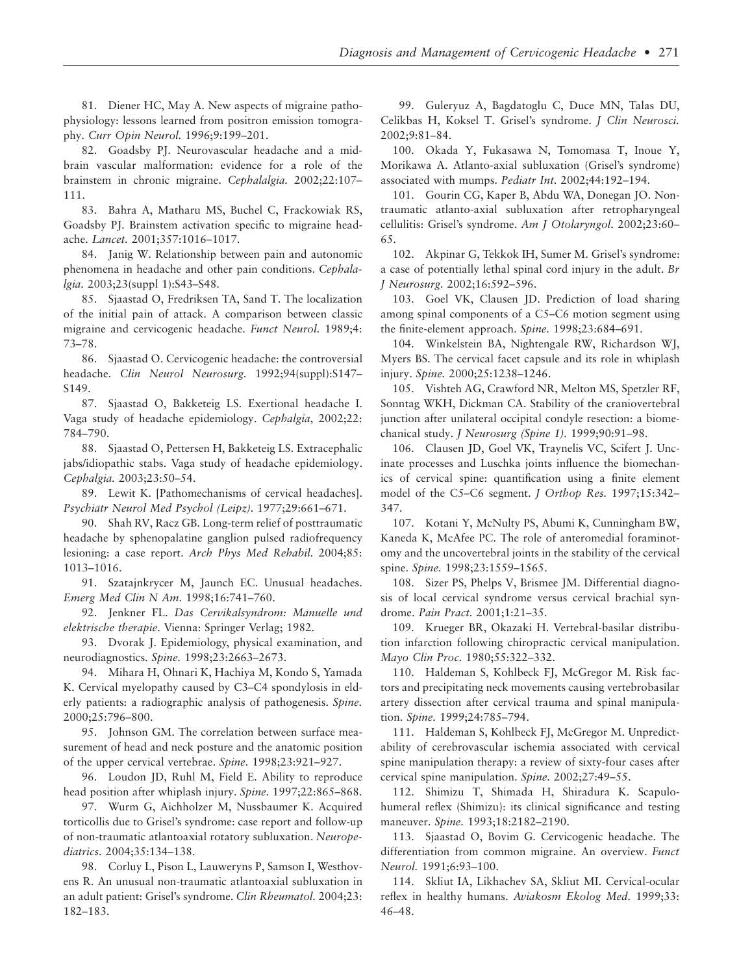81. Diener HC, May A. New aspects of migraine pathophysiology: lessons learned from positron emission tomography. *Curr Opin Neurol.* 1996;9:199–201.

82. Goadsby PJ. Neurovascular headache and a midbrain vascular malformation: evidence for a role of the brainstem in chronic migraine. *Cephalalgia.* 2002;22:107– 111.

83. Bahra A, Matharu MS, Buchel C, Frackowiak RS, Goadsby PJ. Brainstem activation specific to migraine headache. *Lancet.* 2001;357:1016–1017.

84. Janig W. Relationship between pain and autonomic phenomena in headache and other pain conditions. *Cephalalgia.* 2003;23(suppl 1):S43–S48.

85. Sjaastad O, Fredriksen TA, Sand T. The localization of the initial pain of attack. A comparison between classic migraine and cervicogenic headache. *Funct Neurol.* 1989;4: 73–78.

86. Sjaastad O. Cervicogenic headache: the controversial headache. *Clin Neurol Neurosurg.* 1992;94(suppl):S147– S149.

87. Sjaastad O, Bakketeig LS. Exertional headache I. Vaga study of headache epidemiology. *Cephalgia*, 2002;22: 784–790.

88. Sjaastad O, Pettersen H, Bakketeig LS. Extracephalic jabs/idiopathic stabs. Vaga study of headache epidemiology. *Cephalgia.* 2003;23:50–54.

89. Lewit K. [Pathomechanisms of cervical headaches]. *Psychiatr Neurol Med Psychol (Leipz).* 1977;29:661–671.

90. Shah RV, Racz GB. Long-term relief of posttraumatic headache by sphenopalatine ganglion pulsed radiofrequency lesioning: a case report. *Arch Phys Med Rehabil.* 2004;85: 1013–1016.

91. Szatajnkrycer M, Jaunch EC. Unusual headaches. *Emerg Med Clin N Am.* 1998;16:741–760.

92. Jenkner FL. *Das Cervikalsyndrom: Manuelle und elektrische therapie*. Vienna: Springer Verlag; 1982.

93. Dvorak J. Epidemiology, physical examination, and neurodiagnostics. *Spine.* 1998;23:2663–2673.

94. Mihara H, Ohnari K, Hachiya M, Kondo S, Yamada K. Cervical myelopathy caused by C3–C4 spondylosis in elderly patients: a radiographic analysis of pathogenesis. *Spine.* 2000;25:796–800.

95. Johnson GM. The correlation between surface measurement of head and neck posture and the anatomic position of the upper cervical vertebrae. *Spine.* 1998;23:921–927.

96. Loudon JD, Ruhl M, Field E. Ability to reproduce head position after whiplash injury. *Spine.* 1997;22:865–868.

97. Wurm G, Aichholzer M, Nussbaumer K. Acquired torticollis due to Grisel's syndrome: case report and follow-up of non-traumatic atlantoaxial rotatory subluxation. *Neuropediatrics.* 2004;35:134–138.

98. Corluy L, Pison L, Lauweryns P, Samson I, Westhovens R. An unusual non-traumatic atlantoaxial subluxation in an adult patient: Grisel's syndrome. *Clin Rheumatol.* 2004;23: 182–183.

99. Guleryuz A, Bagdatoglu C, Duce MN, Talas DU, Celikbas H, Koksel T. Grisel's syndrome. *J Clin Neurosci.* 2002;9:81–84.

100. Okada Y, Fukasawa N, Tomomasa T, Inoue Y, Morikawa A. Atlanto-axial subluxation (Grisel's syndrome) associated with mumps. *Pediatr Int.* 2002;44:192–194.

101. Gourin CG, Kaper B, Abdu WA, Donegan JO. Nontraumatic atlanto-axial subluxation after retropharyngeal cellulitis: Grisel's syndrome. *Am J Otolaryngol.* 2002;23:60– 65.

102. Akpinar G, Tekkok IH, Sumer M. Grisel's syndrome: a case of potentially lethal spinal cord injury in the adult. *Br J Neurosurg.* 2002;16:592–596.

103. Goel VK, Clausen JD. Prediction of load sharing among spinal components of a C5–C6 motion segment using the finite-element approach. *Spine.* 1998;23:684–691.

104. Winkelstein BA, Nightengale RW, Richardson WJ, Myers BS. The cervical facet capsule and its role in whiplash injury. *Spine.* 2000;25:1238–1246.

105. Vishteh AG, Crawford NR, Melton MS, Spetzler RF, Sonntag WKH, Dickman CA. Stability of the craniovertebral junction after unilateral occipital condyle resection: a biomechanical study. *J Neurosurg (Spine 1).* 1999;90:91–98.

106. Clausen JD, Goel VK, Traynelis VC, Scifert J. Uncinate processes and Luschka joints influence the biomechanics of cervical spine: quantification using a finite element model of the C5–C6 segment. *J Orthop Res.* 1997;15:342– 347.

107. Kotani Y, McNulty PS, Abumi K, Cunningham BW, Kaneda K, McAfee PC. The role of anteromedial foraminotomy and the uncovertebral joints in the stability of the cervical spine. *Spine.* 1998;23:1559–1565.

108. Sizer PS, Phelps V, Brismee JM. Differential diagnosis of local cervical syndrome versus cervical brachial syndrome. *Pain Pract.* 2001;1:21–35.

109. Krueger BR, Okazaki H. Vertebral-basilar distribution infarction following chiropractic cervical manipulation. *Mayo Clin Proc.* 1980;55:322–332.

110. Haldeman S, Kohlbeck FJ, McGregor M. Risk factors and precipitating neck movements causing vertebrobasilar artery dissection after cervical trauma and spinal manipulation. *Spine.* 1999;24:785–794.

111. Haldeman S, Kohlbeck FJ, McGregor M. Unpredictability of cerebrovascular ischemia associated with cervical spine manipulation therapy: a review of sixty-four cases after cervical spine manipulation. *Spine.* 2002;27:49–55.

112. Shimizu T, Shimada H, Shiradura K. Scapulohumeral reflex (Shimizu): its clinical significance and testing maneuver. *Spine.* 1993;18:2182–2190.

113. Sjaastad O, Bovim G. Cervicogenic headache. The differentiation from common migraine. An overview. *Funct Neurol.* 1991;6:93–100.

114. Skliut IA, Likhachev SA, Skliut MI. Cervical-ocular reflex in healthy humans. *Aviakosm Ekolog Med.* 1999;33: 46–48.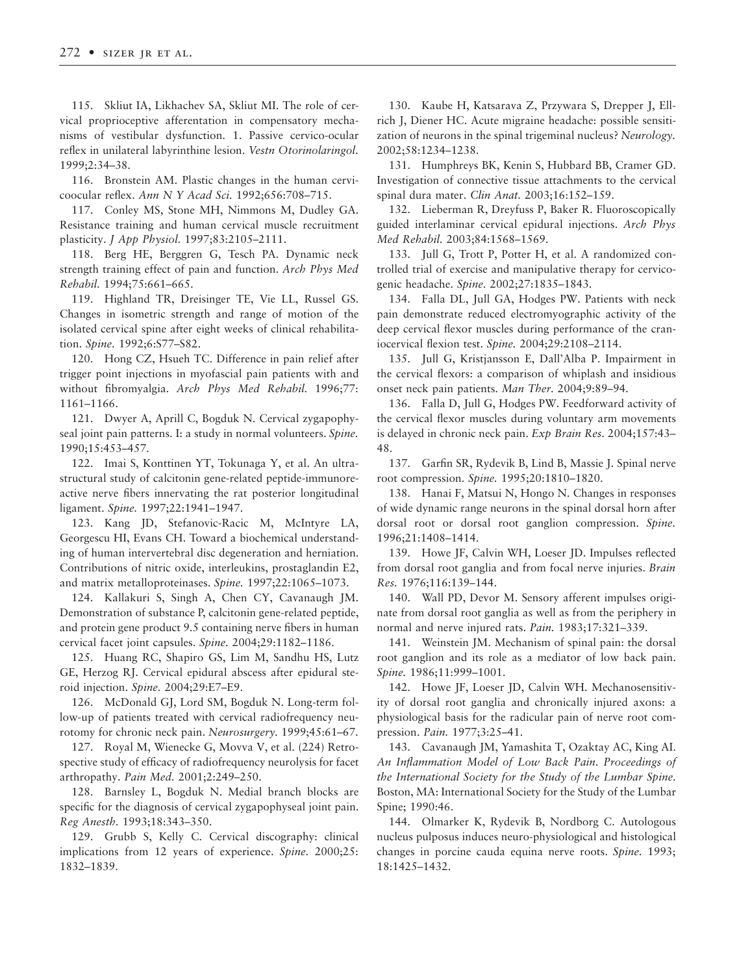115. Skliut IA, Likhachev SA, Skliut MI. The role of cervical proprioceptive afferentation in compensatory mechanisms of vestibular dysfunction. 1. Passive cervico-ocular reflex in unilateral labyrinthine lesion. *Vestn Otorinolaringol.* 1999;2:34–38.

116. Bronstein AM. Plastic changes in the human cervicoocular reflex. *Ann N Y Acad Sci.* 1992;656:708–715.

117. Conley MS, Stone MH, Nimmons M, Dudley GA. Resistance training and human cervical muscle recruitment plasticity. *J App Physiol.* 1997;83:2105–2111.

118. Berg HE, Berggren G, Tesch PA. Dynamic neck strength training effect of pain and function. *Arch Phys Med Rehabil.* 1994;75:661–665.

119. Highland TR, Dreisinger TE, Vie LL, Russel GS. Changes in isometric strength and range of motion of the isolated cervical spine after eight weeks of clinical rehabilitation. *Spine.* 1992;6:S77–S82.

120. Hong CZ, Hsueh TC. Difference in pain relief after trigger point injections in myofascial pain patients with and without fibromyalgia. *Arch Phys Med Rehabil.* 1996;77: 1161–1166.

121. Dwyer A, Aprill C, Bogduk N. Cervical zygapophyseal joint pain patterns. I: a study in normal volunteers. *Spine.* 1990;15:453–457.

122. Imai S, Konttinen YT, Tokunaga Y, et al. An ultrastructural study of calcitonin gene-related peptide-immunoreactive nerve fibers innervating the rat posterior longitudinal ligament. *Spine.* 1997;22:1941–1947.

123. Kang JD, Stefanovic-Racic M, McIntyre LA, Georgescu HI, Evans CH. Toward a biochemical understanding of human intervertebral disc degeneration and herniation. Contributions of nitric oxide, interleukins, prostaglandin E2, and matrix metalloproteinases. *Spine.* 1997;22:1065–1073.

124. Kallakuri S, Singh A, Chen CY, Cavanaugh JM. Demonstration of substance P, calcitonin gene-related peptide, and protein gene product 9.5 containing nerve fibers in human cervical facet joint capsules. *Spine.* 2004;29:1182–1186.

125. Huang RC, Shapiro GS, Lim M, Sandhu HS, Lutz GE, Herzog RJ. Cervical epidural abscess after epidural steroid injection. *Spine.* 2004;29:E7–E9.

126. McDonald GJ, Lord SM, Bogduk N. Long-term follow-up of patients treated with cervical radiofrequency neurotomy for chronic neck pain. *Neurosurgery.* 1999;45:61–67.

127. Royal M, Wienecke G, Movva V, et al. (224) Retrospective study of efficacy of radiofrequency neurolysis for facet arthropathy. *Pain Med.* 2001;2:249–250.

128. Barnsley L, Bogduk N. Medial branch blocks are specific for the diagnosis of cervical zygapophyseal joint pain. *Reg Anesth.* 1993;18:343–350.

129. Grubb S, Kelly C. Cervical discography: clinical implications from 12 years of experience. *Spine.* 2000;25: 1832–1839.

130. Kaube H, Katsarava Z, Przywara S, Drepper J, Ellrich J, Diener HC. Acute migraine headache: possible sensitization of neurons in the spinal trigeminal nucleus? *Neurology.* 2002;58:1234–1238.

131. Humphreys BK, Kenin S, Hubbard BB, Cramer GD. Investigation of connective tissue attachments to the cervical spinal dura mater. *Clin Anat.* 2003;16:152–159.

132. Lieberman R, Dreyfuss P, Baker R. Fluoroscopically guided interlaminar cervical epidural injections. *Arch Phys Med Rehabil.* 2003;84:1568–1569.

133. Jull G, Trott P, Potter H, et al. A randomized controlled trial of exercise and manipulative therapy for cervicogenic headache. *Spine.* 2002;27:1835–1843.

134. Falla DL, Jull GA, Hodges PW. Patients with neck pain demonstrate reduced electromyographic activity of the deep cervical flexor muscles during performance of the craniocervical flexion test. *Spine.* 2004;29:2108–2114.

135. Jull G, Kristjansson E, Dall'Alba P. Impairment in the cervical flexors: a comparison of whiplash and insidious onset neck pain patients. *Man Ther.* 2004;9:89–94.

136. Falla D, Jull G, Hodges PW. Feedforward activity of the cervical flexor muscles during voluntary arm movements is delayed in chronic neck pain. *Exp Brain Res.* 2004;157:43– 48.

137. Garfin SR, Rydevik B, Lind B, Massie J. Spinal nerve root compression. *Spine.* 1995;20:1810–1820.

138. Hanai F, Matsui N, Hongo N. Changes in responses of wide dynamic range neurons in the spinal dorsal horn after dorsal root or dorsal root ganglion compression. *Spine.* 1996;21:1408–1414.

139. Howe JF, Calvin WH, Loeser JD. Impulses reflected from dorsal root ganglia and from focal nerve injuries. *Brain Res.* 1976;116:139–144.

140. Wall PD, Devor M. Sensory afferent impulses originate from dorsal root ganglia as well as from the periphery in normal and nerve injured rats. *Pain.* 1983;17:321–339.

141. Weinstein JM. Mechanism of spinal pain: the dorsal root ganglion and its role as a mediator of low back pain. *Spine.* 1986;11:999–1001.

142. Howe JF, Loeser JD, Calvin WH. Mechanosensitivity of dorsal root ganglia and chronically injured axons: a physiological basis for the radicular pain of nerve root compression. *Pain.* 1977;3:25–41.

143. Cavanaugh JM, Yamashita T, Ozaktay AC, King AI. *An Inflammation Model of Low Back Pain. Proceedings of the International Society for the Study of the Lumbar Spine.* Boston, MA: International Society for the Study of the Lumbar Spine; 1990:46.

144. Olmarker K, Rydevik B, Nordborg C. Autologous nucleus pulposus induces neuro-physiological and histological changes in porcine cauda equina nerve roots. *Spine.* 1993; 18:1425–1432.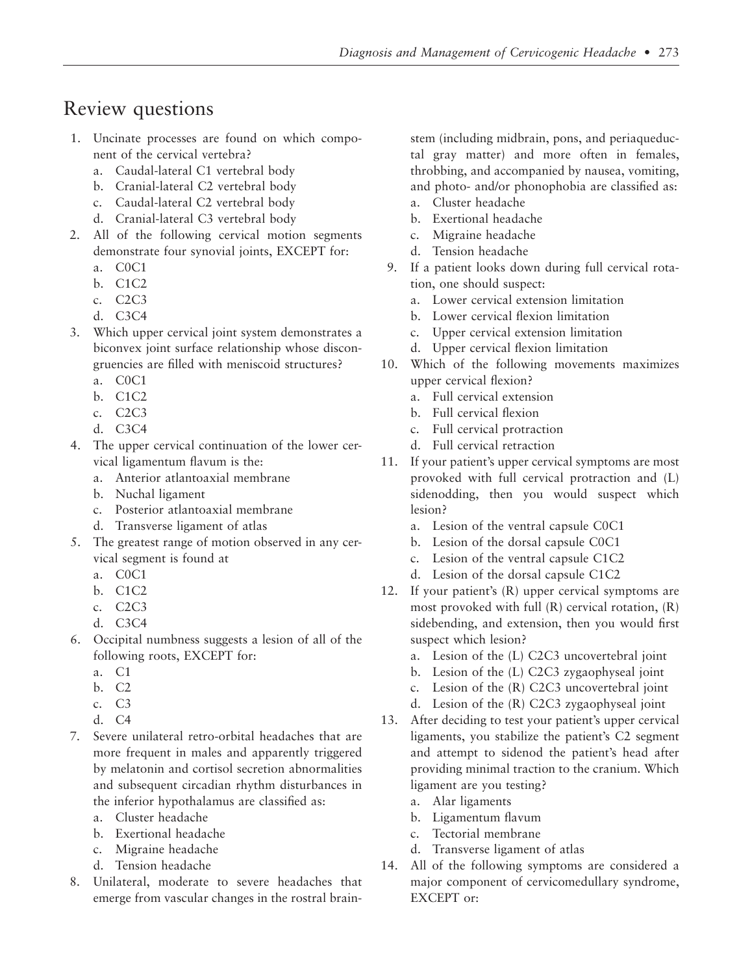# Review questions

- 1. Uncinate processes are found on which component of the cervical vertebra?
	- a. Caudal-lateral C1 vertebral body
	- b. Cranial-lateral C2 vertebral body
	- c. Caudal-lateral C2 vertebral body
	- d. Cranial-lateral C3 vertebral body
- 2. All of the following cervical motion segments demonstrate four synovial joints, EXCEPT for:
	- a. C0C1
	- b. C1C2
	- c. C2C3
	- d. C3C4
- 3. Which upper cervical joint system demonstrates a biconvex joint surface relationship whose discongruencies are filled with meniscoid structures?
	- a. C0C1
	- b. C1C2
	- c. C2C3
	- d. C3C4
- 4. The upper cervical continuation of the lower cervical ligamentum flavum is the:
	- a. Anterior atlantoaxial membrane
	- b. Nuchal ligament
	- c. Posterior atlantoaxial membrane
	- d. Transverse ligament of atlas
- 5. The greatest range of motion observed in any cervical segment is found at
	- a. C0C1
	- b. C1C2
	- c. C2C3
	- d. C3C4
- 6. Occipital numbness suggests a lesion of all of the following roots, EXCEPT for:
	- a. C1
	- b. C2
	- c. C3
	- d. C4
- 7. Severe unilateral retro-orbital headaches that are more frequent in males and apparently triggered by melatonin and cortisol secretion abnormalities and subsequent circadian rhythm disturbances in the inferior hypothalamus are classified as:
	- a. Cluster headache
	- b. Exertional headache
	- c. Migraine headache
	- d. Tension headache
- 8. Unilateral, moderate to severe headaches that emerge from vascular changes in the rostral brain-

stem (including midbrain, pons, and periaqueductal gray matter) and more often in females, throbbing, and accompanied by nausea, vomiting, and photo- and/or phonophobia are classified as:

- a. Cluster headache
- b. Exertional headache
- c. Migraine headache
- d. Tension headache
- 9. If a patient looks down during full cervical rotation, one should suspect:
	- a. Lower cervical extension limitation
	- b. Lower cervical flexion limitation
	- c. Upper cervical extension limitation
	- d. Upper cervical flexion limitation
- 10. Which of the following movements maximizes upper cervical flexion?
	- a. Full cervical extension
	- b. Full cervical flexion
	- c. Full cervical protraction
	- d. Full cervical retraction
- 11. If your patient's upper cervical symptoms are most provoked with full cervical protraction and (L) sidenodding, then you would suspect which lesion?
	- a. Lesion of the ventral capsule C0C1
	- b. Lesion of the dorsal capsule C0C1
	- c. Lesion of the ventral capsule C1C2
	- d. Lesion of the dorsal capsule C1C2
- 12. If your patient's (R) upper cervical symptoms are most provoked with full (R) cervical rotation, (R) sidebending, and extension, then you would first suspect which lesion?
	- a. Lesion of the (L) C2C3 uncovertebral joint
	- b. Lesion of the (L) C2C3 zygaophyseal joint
	- c. Lesion of the (R) C2C3 uncovertebral joint
	- d. Lesion of the (R) C2C3 zygaophyseal joint
- 13. After deciding to test your patient's upper cervical ligaments, you stabilize the patient's C2 segment and attempt to sidenod the patient's head after providing minimal traction to the cranium. Which ligament are you testing?
	- a. Alar ligaments
	- b. Ligamentum flavum
	- c. Tectorial membrane
	- d. Transverse ligament of atlas
- 14. All of the following symptoms are considered a major component of cervicomedullary syndrome, EXCEPT or: